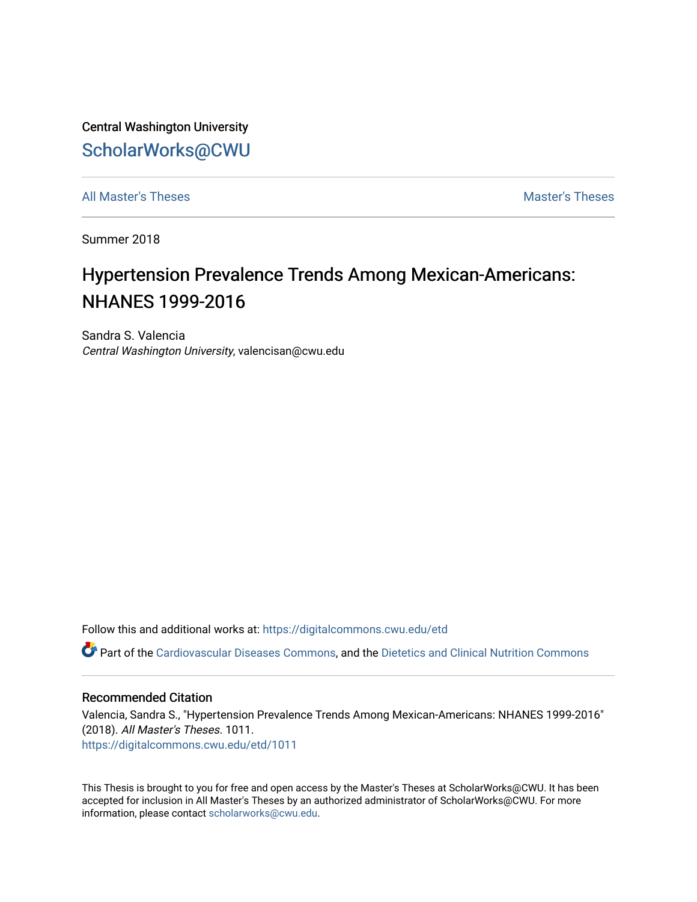Central Washington University [ScholarWorks@CWU](https://digitalcommons.cwu.edu/) 

[All Master's Theses](https://digitalcommons.cwu.edu/etd) and the set of the set of the set of the set of the set of the set of the set of the set of the set of the set of the set of the set of the set of the set of the set of the set of the set of the set of

Summer 2018

# Hypertension Prevalence Trends Among Mexican-Americans: NHANES 1999-2016

Sandra S. Valencia Central Washington University, valencisan@cwu.edu

Follow this and additional works at: [https://digitalcommons.cwu.edu/etd](https://digitalcommons.cwu.edu/etd?utm_source=digitalcommons.cwu.edu%2Fetd%2F1011&utm_medium=PDF&utm_campaign=PDFCoverPages) 

Part of the [Cardiovascular Diseases Commons](http://network.bepress.com/hgg/discipline/929?utm_source=digitalcommons.cwu.edu%2Fetd%2F1011&utm_medium=PDF&utm_campaign=PDFCoverPages), and the [Dietetics and Clinical Nutrition Commons](http://network.bepress.com/hgg/discipline/662?utm_source=digitalcommons.cwu.edu%2Fetd%2F1011&utm_medium=PDF&utm_campaign=PDFCoverPages) 

#### Recommended Citation

Valencia, Sandra S., "Hypertension Prevalence Trends Among Mexican-Americans: NHANES 1999-2016" (2018). All Master's Theses. 1011. [https://digitalcommons.cwu.edu/etd/1011](https://digitalcommons.cwu.edu/etd/1011?utm_source=digitalcommons.cwu.edu%2Fetd%2F1011&utm_medium=PDF&utm_campaign=PDFCoverPages)

This Thesis is brought to you for free and open access by the Master's Theses at ScholarWorks@CWU. It has been accepted for inclusion in All Master's Theses by an authorized administrator of ScholarWorks@CWU. For more information, please contact [scholarworks@cwu.edu.](mailto:scholarworks@cwu.edu)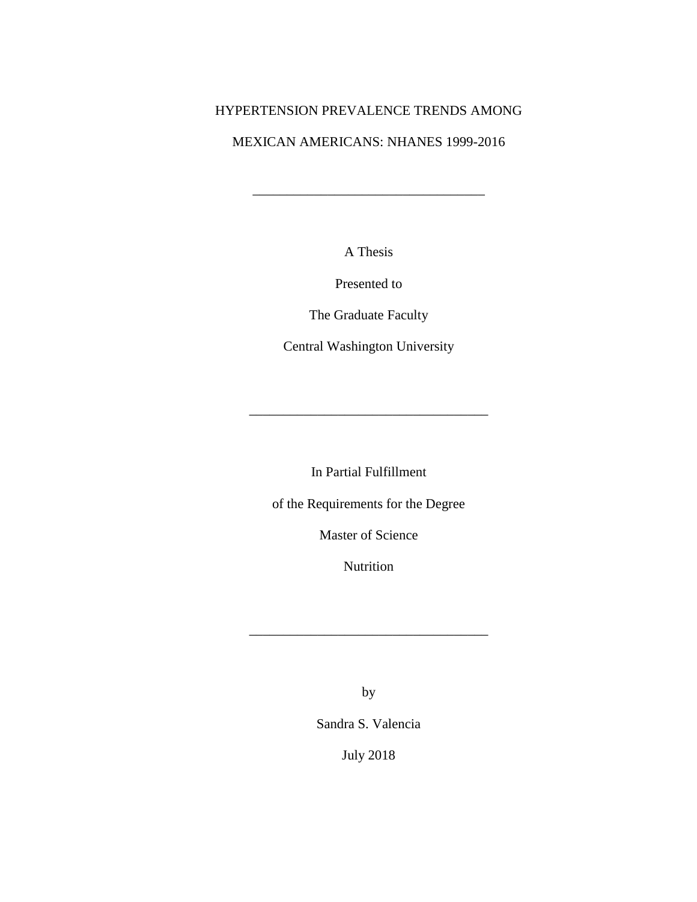# HYPERTENSION PREVALENCE TRENDS AMONG

## MEXICAN AMERICANS: NHANES 1999-2016

\_\_\_\_\_\_\_\_\_\_\_\_\_\_\_\_\_\_\_\_\_\_\_\_\_\_\_\_\_\_\_\_\_\_

A Thesis

Presented to

The Graduate Faculty

Central Washington University

In Partial Fulfillment

\_\_\_\_\_\_\_\_\_\_\_\_\_\_\_\_\_\_\_\_\_\_\_\_\_\_\_\_\_\_\_\_\_\_\_

of the Requirements for the Degree

Master of Science

Nutrition

\_\_\_\_\_\_\_\_\_\_\_\_\_\_\_\_\_\_\_\_\_\_\_\_\_\_\_\_\_\_\_\_\_\_\_

by

Sandra S. Valencia

July 2018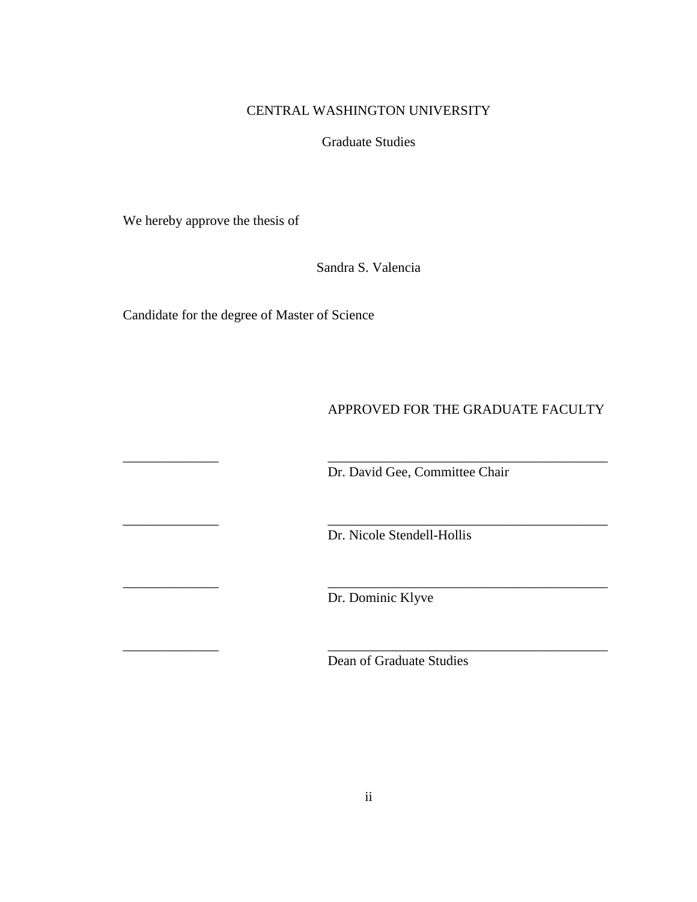## CENTRAL WASHINGTON UNIVERSITY

Graduate Studies

We hereby approve the thesis of

Sandra S. Valencia

\_\_\_\_\_\_\_\_\_\_\_\_\_\_ \_\_\_\_\_\_\_\_\_\_\_\_\_\_\_\_\_\_\_\_\_\_\_\_\_\_\_\_\_\_\_\_\_\_\_\_\_\_\_\_\_

\_\_\_\_\_\_\_\_\_\_\_\_\_\_ \_\_\_\_\_\_\_\_\_\_\_\_\_\_\_\_\_\_\_\_\_\_\_\_\_\_\_\_\_\_\_\_\_\_\_\_\_\_\_\_\_

\_\_\_\_\_\_\_\_\_\_\_\_\_\_ \_\_\_\_\_\_\_\_\_\_\_\_\_\_\_\_\_\_\_\_\_\_\_\_\_\_\_\_\_\_\_\_\_\_\_\_\_\_\_\_\_

\_\_\_\_\_\_\_\_\_\_\_\_\_\_ \_\_\_\_\_\_\_\_\_\_\_\_\_\_\_\_\_\_\_\_\_\_\_\_\_\_\_\_\_\_\_\_\_\_\_\_\_\_\_\_\_

Candidate for the degree of Master of Science

# APPROVED FOR THE GRADUATE FACULTY

Dr. David Gee, Committee Chair

Dr. Nicole Stendell-Hollis

Dr. Dominic Klyve

Dean of Graduate Studies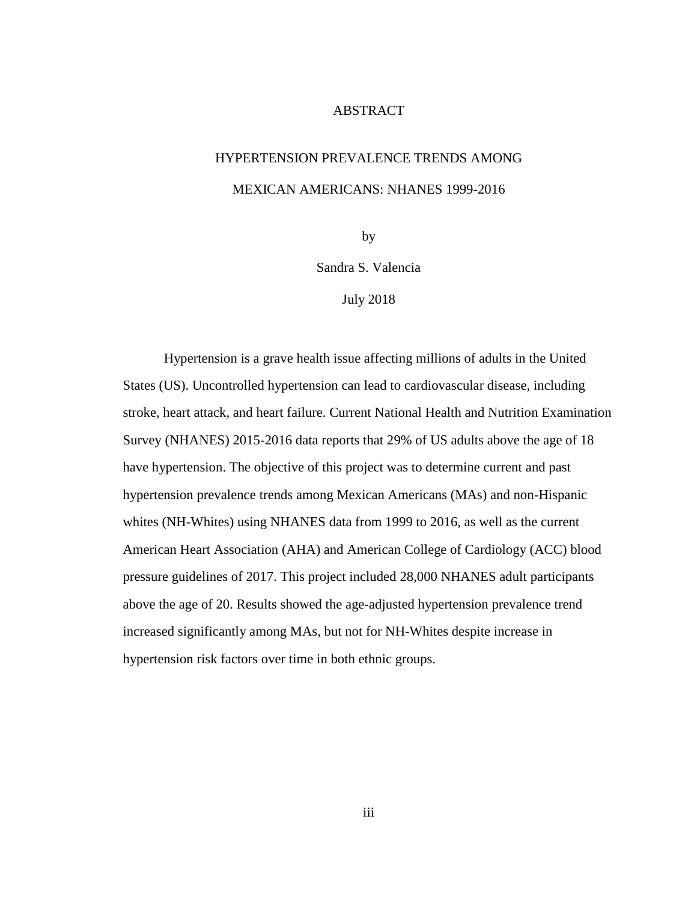#### ABSTRACT

# HYPERTENSION PREVALENCE TRENDS AMONG MEXICAN AMERICANS: NHANES 1999-2016

by

Sandra S. Valencia

July 2018

Hypertension is a grave health issue affecting millions of adults in the United States (US). Uncontrolled hypertension can lead to cardiovascular disease, including stroke, heart attack, and heart failure. Current National Health and Nutrition Examination Survey (NHANES) 2015-2016 data reports that 29% of US adults above the age of 18 have hypertension. The objective of this project was to determine current and past hypertension prevalence trends among Mexican Americans (MAs) and non-Hispanic whites (NH-Whites) using NHANES data from 1999 to 2016, as well as the current American Heart Association (AHA) and American College of Cardiology (ACC) blood pressure guidelines of 2017. This project included 28,000 NHANES adult participants above the age of 20. Results showed the age-adjusted hypertension prevalence trend increased significantly among MAs, but not for NH-Whites despite increase in hypertension risk factors over time in both ethnic groups.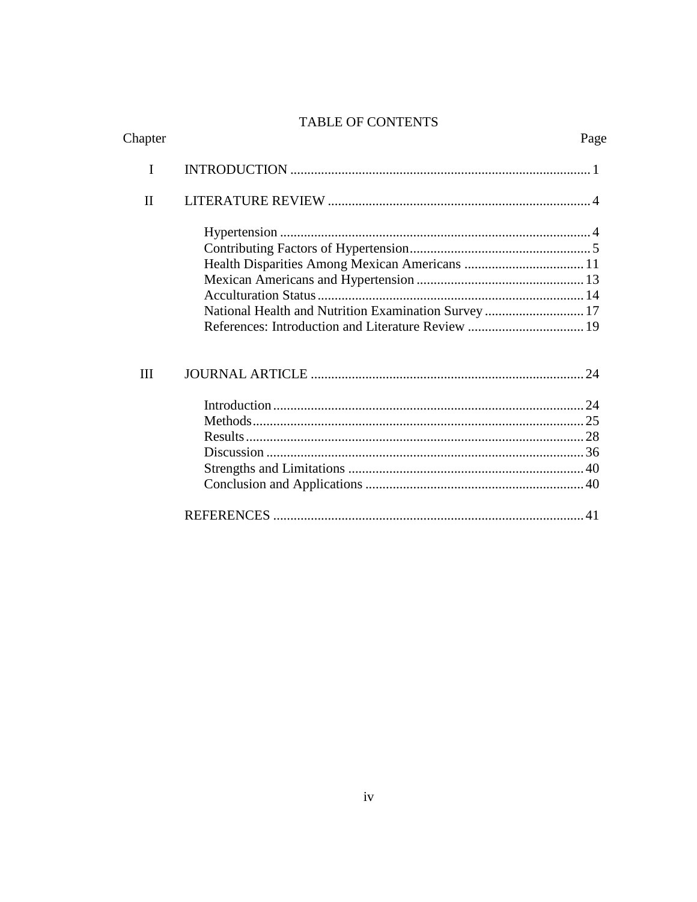# TABLE OF CONTENTS

| Chapter      |                                                      | Page |
|--------------|------------------------------------------------------|------|
| I            |                                                      |      |
| $\mathbf{I}$ |                                                      |      |
|              |                                                      |      |
|              |                                                      |      |
|              |                                                      |      |
|              |                                                      |      |
|              |                                                      |      |
|              | National Health and Nutrition Examination Survey  17 |      |
|              |                                                      |      |
| Ш            |                                                      |      |
|              |                                                      |      |
|              |                                                      |      |
|              |                                                      |      |
|              |                                                      |      |
|              |                                                      |      |
|              |                                                      |      |
|              |                                                      |      |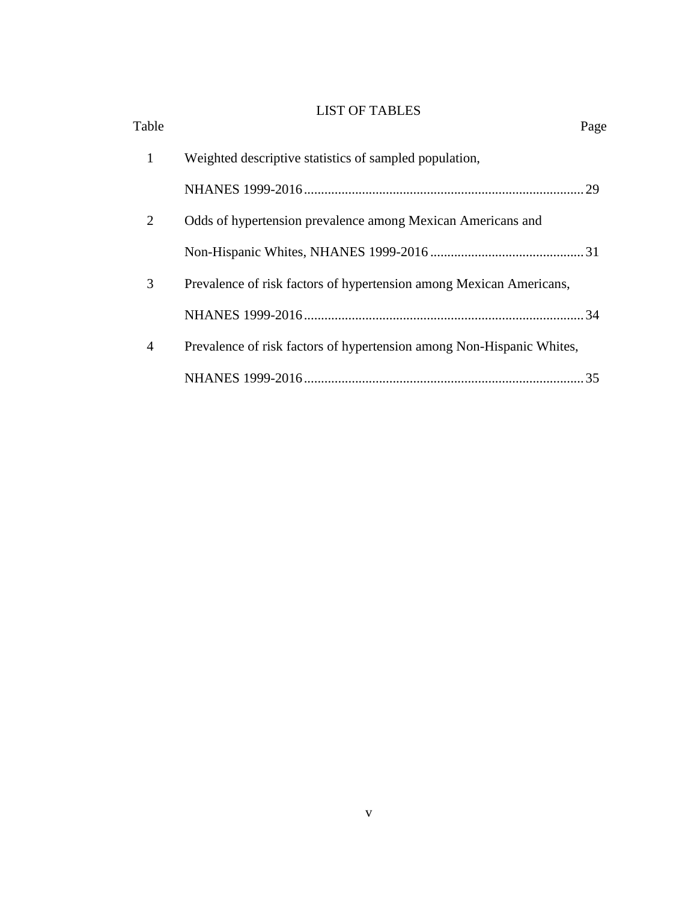# LIST OF TABLES

| Table          |                                                                       | Page |
|----------------|-----------------------------------------------------------------------|------|
| 1              | Weighted descriptive statistics of sampled population,                |      |
|                |                                                                       |      |
| $\overline{2}$ | Odds of hypertension prevalence among Mexican Americans and           |      |
|                |                                                                       |      |
| 3              | Prevalence of risk factors of hypertension among Mexican Americans,   |      |
|                |                                                                       |      |
| $\overline{4}$ | Prevalence of risk factors of hypertension among Non-Hispanic Whites, |      |
|                |                                                                       | 35   |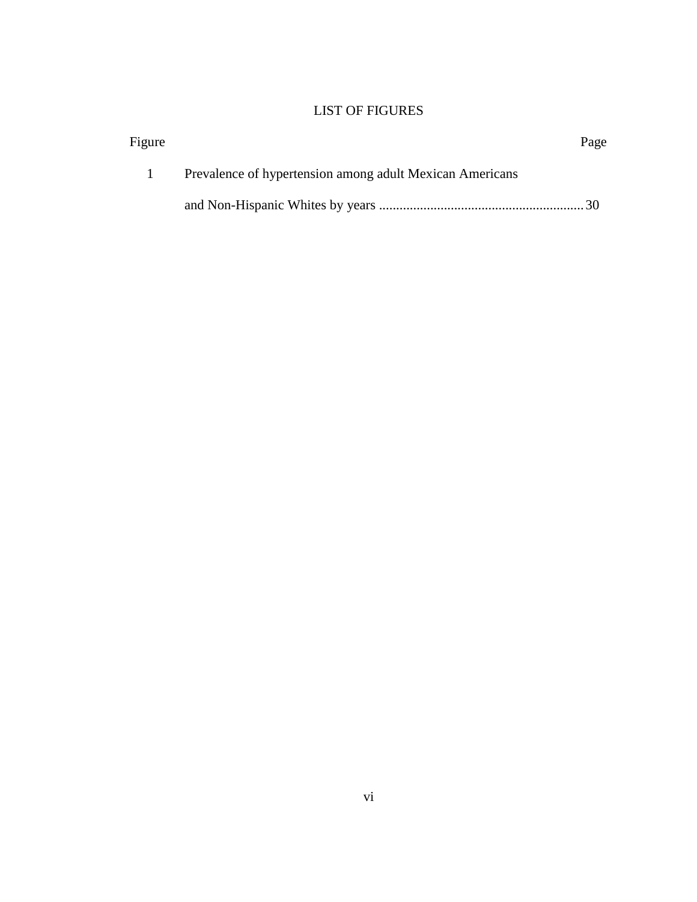# LIST OF FIGURES

| Figure |                                                          | Page |
|--------|----------------------------------------------------------|------|
|        | Prevalence of hypertension among adult Mexican Americans |      |
|        |                                                          |      |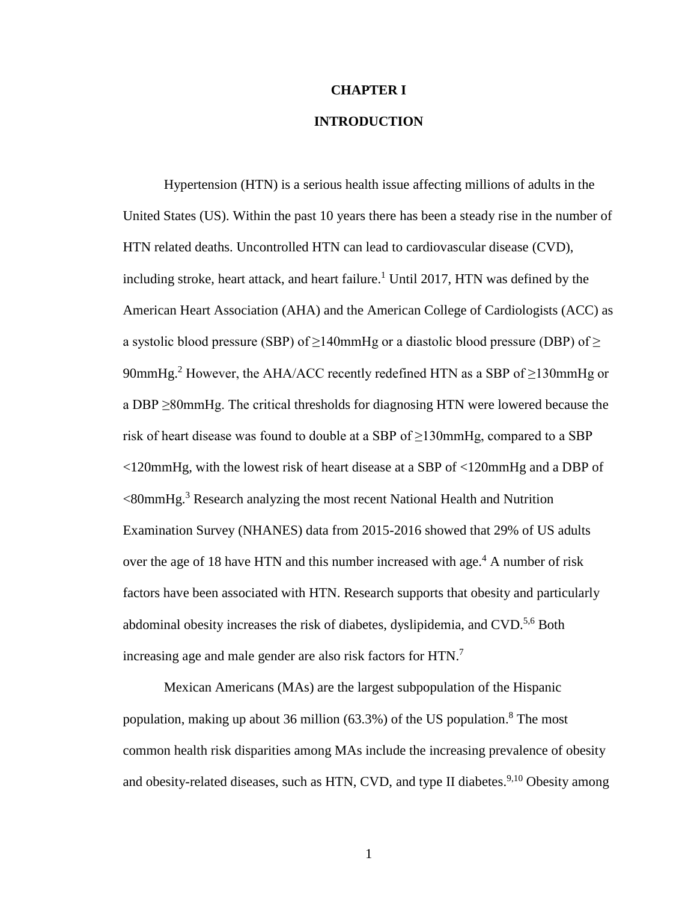#### **CHAPTER I**

## **INTRODUCTION**

Hypertension (HTN) is a serious health issue affecting millions of adults in the United States (US). Within the past 10 years there has been a steady rise in the number of HTN related deaths. Uncontrolled HTN can lead to cardiovascular disease (CVD), including stroke, heart attack, and heart failure. <sup>1</sup> Until 2017, HTN was defined by the American Heart Association (AHA) and the American College of Cardiologists (ACC) as a systolic blood pressure (SBP) of  $\geq$ 140mmHg or a diastolic blood pressure (DBP) of  $\geq$ 90mmHg.<sup>2</sup> However, the AHA/ACC recently redefined HTN as a SBP of  $\geq$ 130mmHg or a DBP ≥80mmHg. The critical thresholds for diagnosing HTN were lowered because the risk of heart disease was found to double at a SBP of  $\geq$ 130mmHg, compared to a SBP <120mmHg, with the lowest risk of heart disease at a SBP of <120mmHg and a DBP of <80mmHg. <sup>3</sup> Research analyzing the most recent National Health and Nutrition Examination Survey (NHANES) data from 2015-2016 showed that 29% of US adults over the age of 18 have HTN and this number increased with age.<sup>4</sup> A number of risk factors have been associated with HTN. Research supports that obesity and particularly abdominal obesity increases the risk of diabetes, dyslipidemia, and CVD.<sup>5,6</sup> Both increasing age and male gender are also risk factors for HTN.<sup>7</sup>

Mexican Americans (MAs) are the largest subpopulation of the Hispanic population, making up about 36 million (63.3%) of the US population. <sup>8</sup> The most common health risk disparities among MAs include the increasing prevalence of obesity and obesity-related diseases, such as HTN, CVD, and type II diabetes.<sup>9,10</sup> Obesity among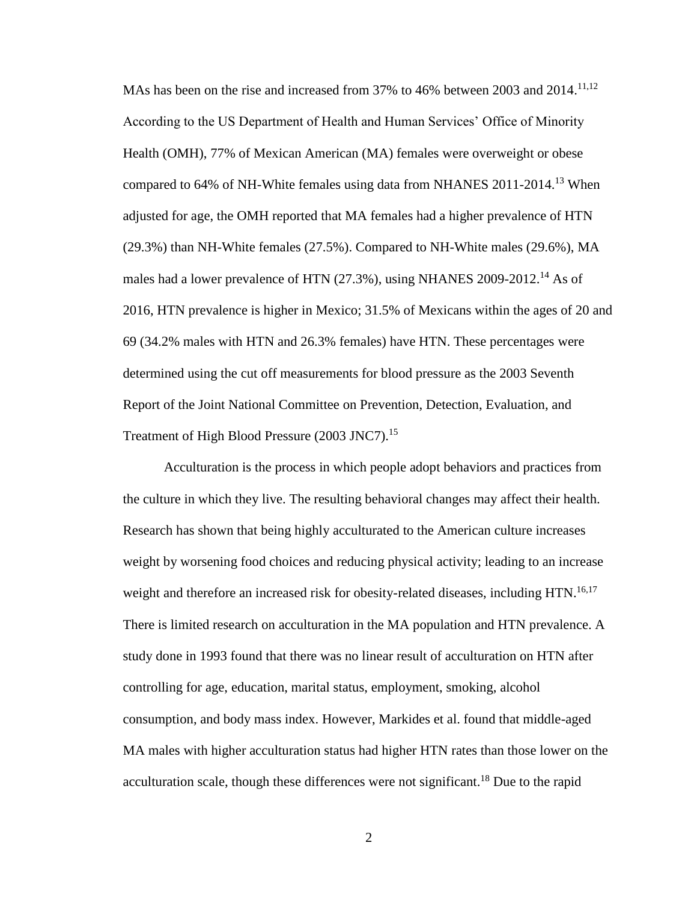MAs has been on the rise and increased from 37% to 46% between 2003 and 2014.<sup>11,12</sup> According to the US Department of Health and Human Services' Office of Minority Health (OMH), 77% of Mexican American (MA) females were overweight or obese compared to 64% of NH-White females using data from NHANES 2011-2014.<sup>13</sup> When adjusted for age, the OMH reported that MA females had a higher prevalence of HTN (29.3%) than NH-White females (27.5%). Compared to NH-White males (29.6%), MA males had a lower prevalence of HTN (27.3%), using NHANES 2009-2012.<sup>14</sup> As of 2016, HTN prevalence is higher in Mexico; 31.5% of Mexicans within the ages of 20 and 69 (34.2% males with HTN and 26.3% females) have HTN. These percentages were determined using the cut off measurements for blood pressure as the 2003 Seventh Report of the Joint National Committee on Prevention, Detection, Evaluation, and Treatment of High Blood Pressure (2003 JNC7).<sup>15</sup>

Acculturation is the process in which people adopt behaviors and practices from the culture in which they live. The resulting behavioral changes may affect their health. Research has shown that being highly acculturated to the American culture increases weight by worsening food choices and reducing physical activity; leading to an increase weight and therefore an increased risk for obesity-related diseases, including HTN.<sup>16,17</sup> There is limited research on acculturation in the MA population and HTN prevalence. A study done in 1993 found that there was no linear result of acculturation on HTN after controlling for age, education, marital status, employment, smoking, alcohol consumption, and body mass index. However, Markides et al. found that middle-aged MA males with higher acculturation status had higher HTN rates than those lower on the acculturation scale, though these differences were not significant.<sup>18</sup> Due to the rapid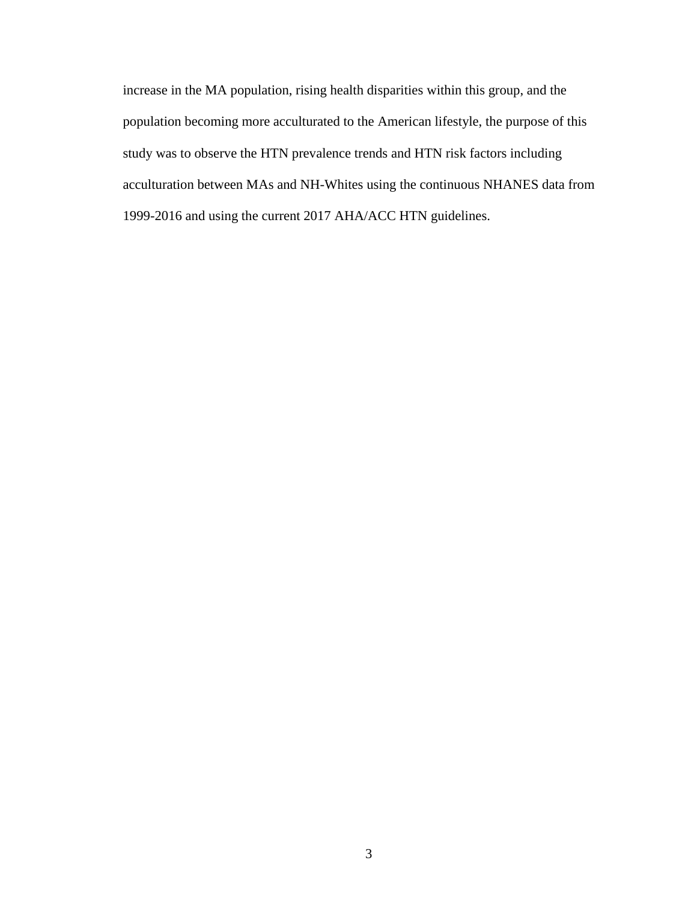increase in the MA population, rising health disparities within this group, and the population becoming more acculturated to the American lifestyle, the purpose of this study was to observe the HTN prevalence trends and HTN risk factors including acculturation between MAs and NH-Whites using the continuous NHANES data from 1999-2016 and using the current 2017 AHA/ACC HTN guidelines.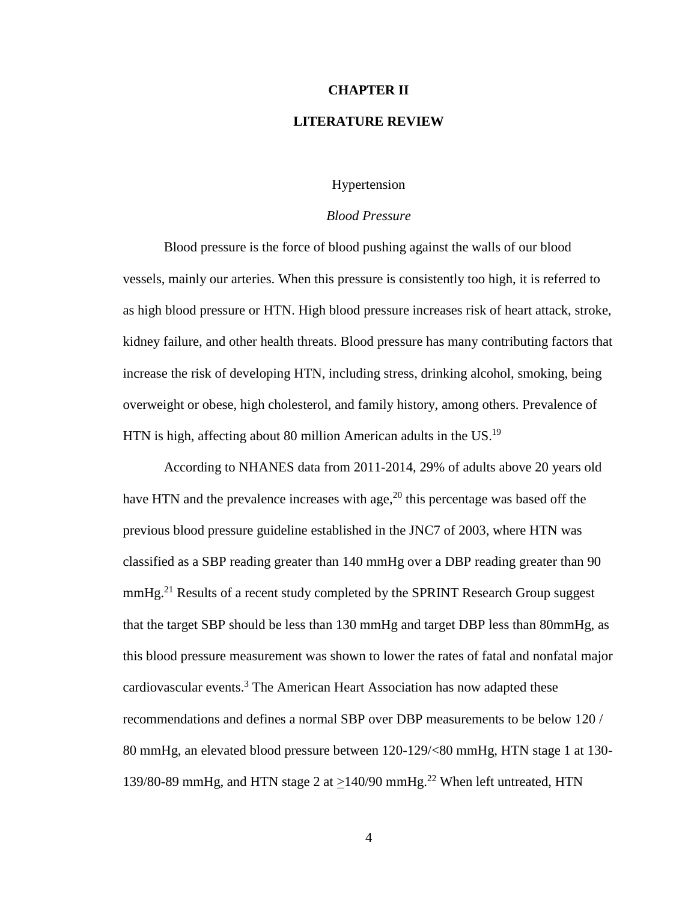#### **CHAPTER II**

#### **LITERATURE REVIEW**

#### Hypertension

#### *Blood Pressure*

Blood pressure is the force of blood pushing against the walls of our blood vessels, mainly our arteries. When this pressure is consistently too high, it is referred to as high blood pressure or HTN. High blood pressure increases risk of heart attack, stroke, kidney failure, and other health threats. Blood pressure has many contributing factors that increase the risk of developing HTN, including stress, drinking alcohol, smoking, being overweight or obese, high cholesterol, and family history, among others. Prevalence of HTN is high, affecting about 80 million American adults in the US.<sup>19</sup>

According to NHANES data from 2011-2014, 29% of adults above 20 years old have HTN and the prevalence increases with age,  $20$  this percentage was based off the previous blood pressure guideline established in the JNC7 of 2003, where HTN was classified as a SBP reading greater than 140 mmHg over a DBP reading greater than 90  $mmHg<sup>21</sup>$  Results of a recent study completed by the SPRINT Research Group suggest that the target SBP should be less than 130 mmHg and target DBP less than 80mmHg, as this blood pressure measurement was shown to lower the rates of fatal and nonfatal major cardiovascular events. <sup>3</sup> The American Heart Association has now adapted these recommendations and defines a normal SBP over DBP measurements to be below 120 / 80 mmHg, an elevated blood pressure between 120-129/<80 mmHg, HTN stage 1 at 130- 139/80-89 mmHg, and HTN stage 2 at  $\geq$ 140/90 mmHg.<sup>22</sup> When left untreated, HTN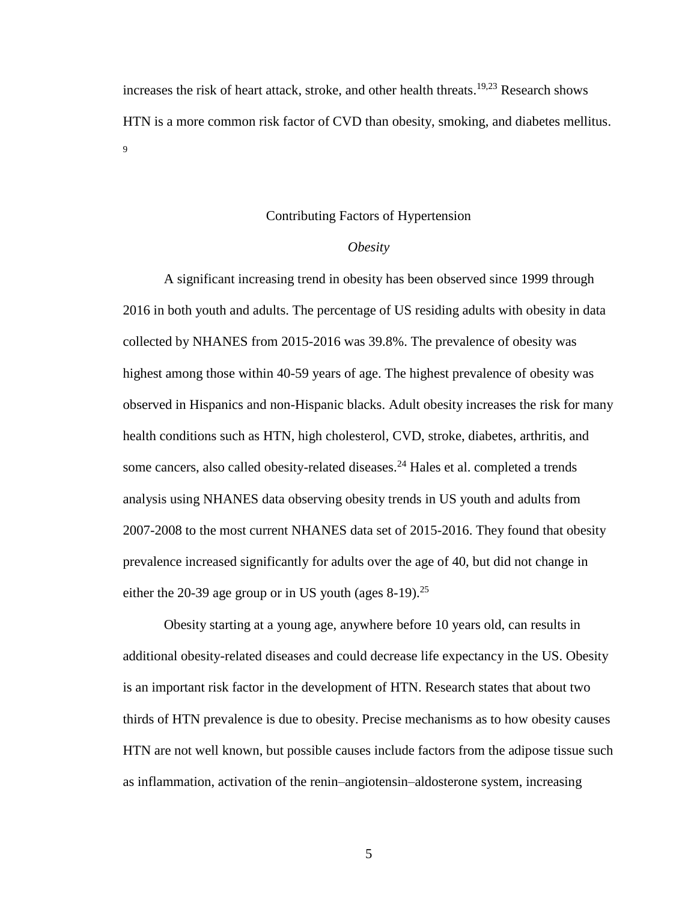increases the risk of heart attack, stroke, and other health threats. 19,23 Research shows HTN is a more common risk factor of CVD than obesity, smoking, and diabetes mellitus. 9

#### Contributing Factors of Hypertension

#### *Obesity*

A significant increasing trend in obesity has been observed since 1999 through 2016 in both youth and adults. The percentage of US residing adults with obesity in data collected by NHANES from 2015-2016 was 39.8%. The prevalence of obesity was highest among those within 40-59 years of age. The highest prevalence of obesity was observed in Hispanics and non-Hispanic blacks. Adult obesity increases the risk for many health conditions such as HTN, high cholesterol, CVD, stroke, diabetes, arthritis, and some cancers, also called obesity-related diseases.<sup>24</sup> Hales et al. completed a trends analysis using NHANES data observing obesity trends in US youth and adults from 2007-2008 to the most current NHANES data set of 2015-2016. They found that obesity prevalence increased significantly for adults over the age of 40, but did not change in either the 20-39 age group or in US youth (ages  $8-19$ ).<sup>25</sup>

Obesity starting at a young age, anywhere before 10 years old, can results in additional obesity-related diseases and could decrease life expectancy in the US. Obesity is an important risk factor in the development of HTN. Research states that about two thirds of HTN prevalence is due to obesity. Precise mechanisms as to how obesity causes HTN are not well known, but possible causes include factors from the adipose tissue such as inflammation, activation of the renin–angiotensin–aldosterone system, increasing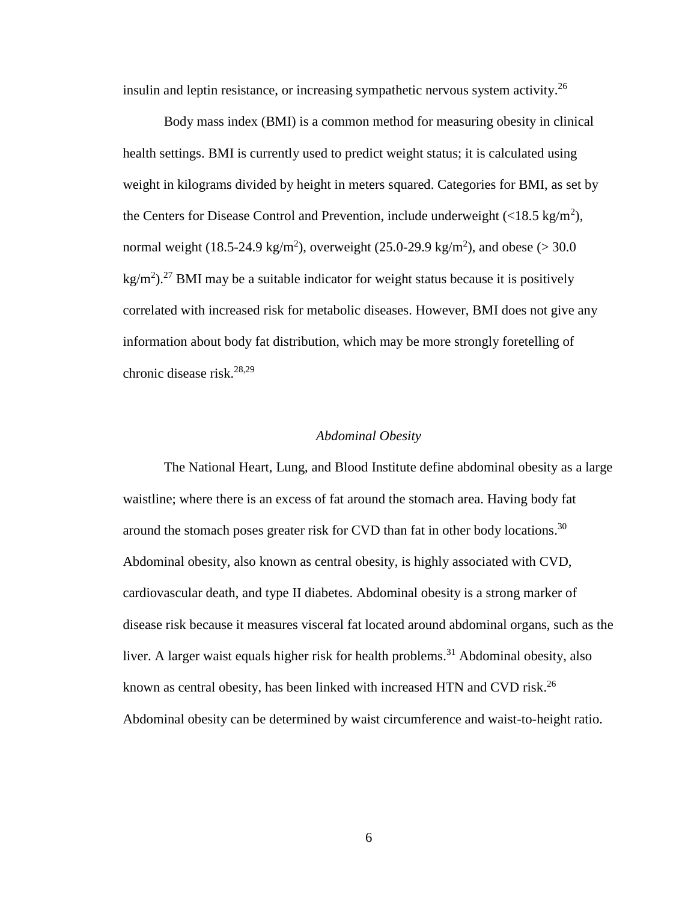insulin and leptin resistance, or increasing sympathetic nervous system activity.<sup>26</sup>

Body mass index (BMI) is a common method for measuring obesity in clinical health settings. BMI is currently used to predict weight status; it is calculated using weight in kilograms divided by height in meters squared. Categories for BMI, as set by the Centers for Disease Control and Prevention, include underweight  $\left($  <18.5 kg/m<sup>2</sup> $\right)$ , normal weight (18.5-24.9 kg/m<sup>2</sup>), overweight (25.0-29.9 kg/m<sup>2</sup>), and obese (> 30.0  $\text{kg/m}^2$ ).<sup>27</sup> BMI may be a suitable indicator for weight status because it is positively correlated with increased risk for metabolic diseases. However, BMI does not give any information about body fat distribution, which may be more strongly foretelling of chronic disease risk. 28,29

#### *Abdominal Obesity*

The National Heart, Lung, and Blood Institute define abdominal obesity as a large waistline; where there is an excess of fat around the stomach area. Having body fat around the stomach poses greater risk for CVD than fat in other body locations.<sup>30</sup> Abdominal obesity, also known as central obesity, is highly associated with CVD, cardiovascular death, and type II diabetes. Abdominal obesity is a strong marker of disease risk because it measures visceral fat located around abdominal organs, such as the liver. A larger waist equals higher risk for health problems.<sup>31</sup> Abdominal obesity, also known as central obesity, has been linked with increased HTN and CVD risk.<sup>26</sup> Abdominal obesity can be determined by waist circumference and waist-to-height ratio.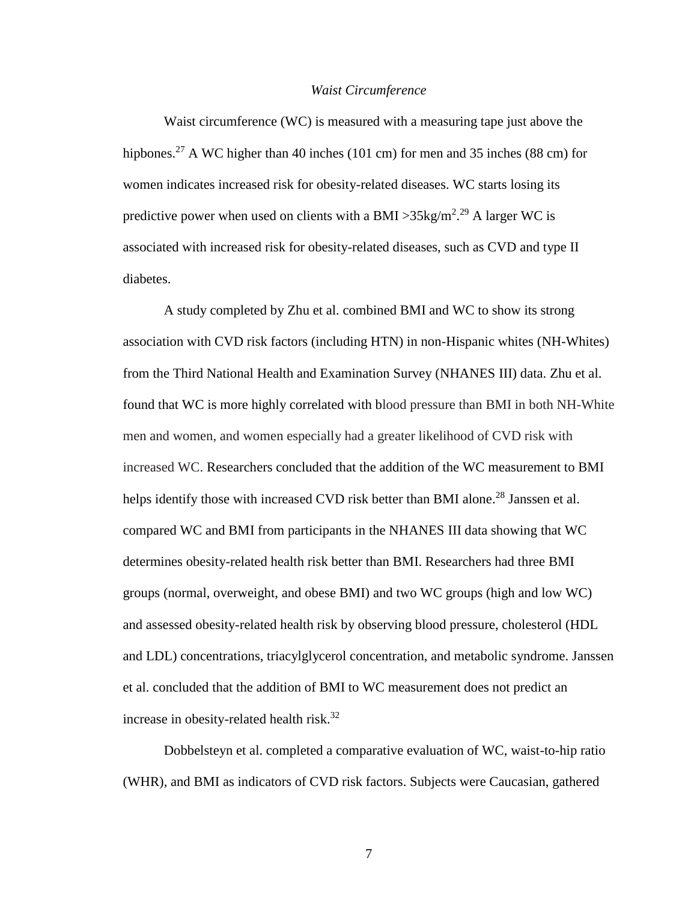#### *Waist Circumference*

Waist circumference (WC) is measured with a measuring tape just above the hipbones.<sup>27</sup> A WC higher than 40 inches (101 cm) for men and 35 inches (88 cm) for women indicates increased risk for obesity-related diseases. WC starts losing its predictive power when used on clients with a BMI > 35kg/m<sup>2</sup>.<sup>29</sup> A larger WC is associated with increased risk for obesity-related diseases, such as CVD and type II diabetes.

A study completed by Zhu et al. combined BMI and WC to show its strong association with CVD risk factors (including HTN) in non-Hispanic whites (NH-Whites) from the Third National Health and Examination Survey (NHANES III) data. Zhu et al. found that WC is more highly correlated with blood pressure than BMI in both NH-White men and women, and women especially had a greater likelihood of CVD risk with increased WC. Researchers concluded that the addition of the WC measurement to BMI helps identify those with increased CVD risk better than BMI alone.<sup>28</sup> Janssen et al. compared WC and BMI from participants in the NHANES III data showing that WC determines obesity-related health risk better than BMI. Researchers had three BMI groups (normal, overweight, and obese BMI) and two WC groups (high and low WC) and assessed obesity-related health risk by observing blood pressure, cholesterol (HDL and LDL) concentrations, triacylglycerol concentration, and metabolic syndrome. Janssen et al. concluded that the addition of BMI to WC measurement does not predict an increase in obesity-related health risk. 32

Dobbelsteyn et al. completed a comparative evaluation of WC, waist-to-hip ratio (WHR), and BMI as indicators of CVD risk factors. Subjects were Caucasian, gathered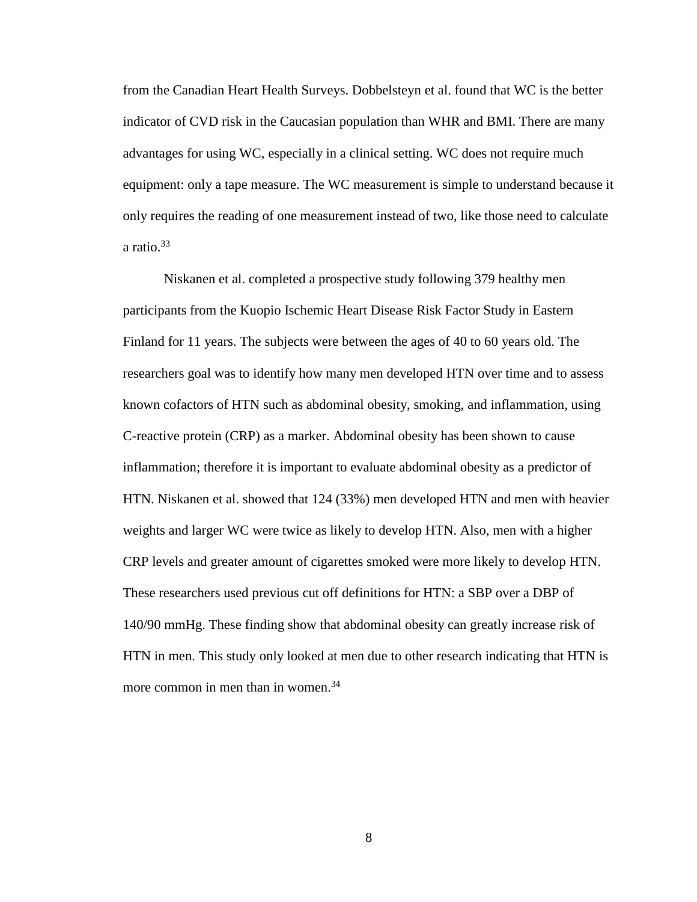from the Canadian Heart Health Surveys. Dobbelsteyn et al. found that WC is the better indicator of CVD risk in the Caucasian population than WHR and BMI. There are many advantages for using WC, especially in a clinical setting. WC does not require much equipment: only a tape measure. The WC measurement is simple to understand because it only requires the reading of one measurement instead of two, like those need to calculate a ratio. 33

Niskanen et al. completed a prospective study following 379 healthy men participants from the Kuopio Ischemic Heart Disease Risk Factor Study in Eastern Finland for 11 years. The subjects were between the ages of 40 to 60 years old. The researchers goal was to identify how many men developed HTN over time and to assess known cofactors of HTN such as abdominal obesity, smoking, and inflammation, using C-reactive protein (CRP) as a marker. Abdominal obesity has been shown to cause inflammation; therefore it is important to evaluate abdominal obesity as a predictor of HTN. Niskanen et al. showed that 124 (33%) men developed HTN and men with heavier weights and larger WC were twice as likely to develop HTN. Also, men with a higher CRP levels and greater amount of cigarettes smoked were more likely to develop HTN. These researchers used previous cut off definitions for HTN: a SBP over a DBP of 140/90 mmHg. These finding show that abdominal obesity can greatly increase risk of HTN in men. This study only looked at men due to other research indicating that HTN is more common in men than in women.<sup>34</sup>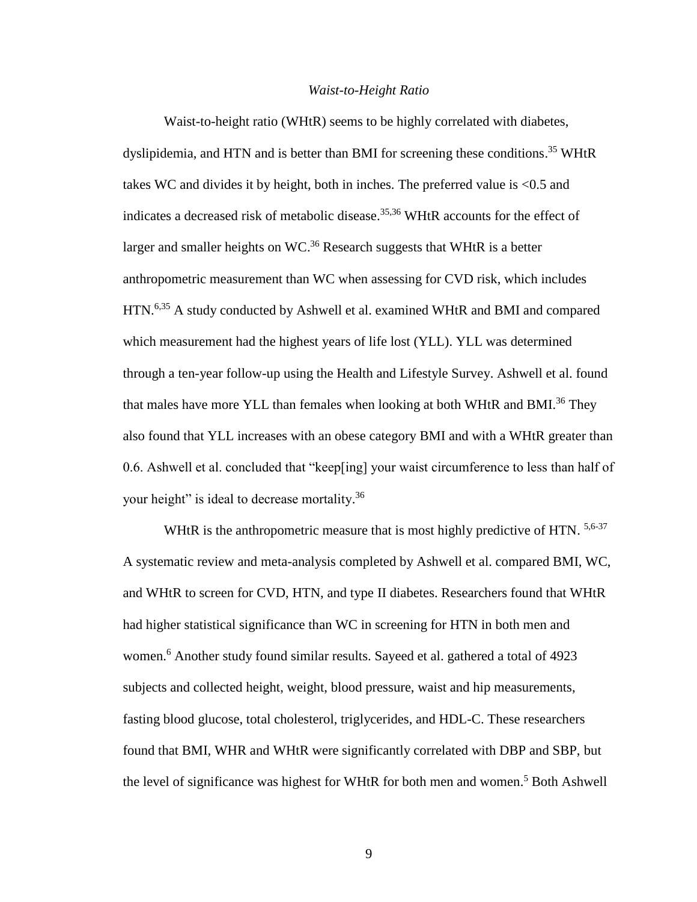#### *Waist-to-Height Ratio*

Waist-to-height ratio (WHtR) seems to be highly correlated with diabetes, dyslipidemia, and HTN and is better than BMI for screening these conditions. <sup>35</sup> WHtR takes WC and divides it by height, both in inches. The preferred value is <0.5 and indicates a decreased risk of metabolic disease. 35,36 WHtR accounts for the effect of larger and smaller heights on WC. $36$  Research suggests that WHtR is a better anthropometric measurement than WC when assessing for CVD risk, which includes HTN.<sup>6,35</sup> A study conducted by Ashwell et al. examined WHtR and BMI and compared which measurement had the highest years of life lost (YLL). YLL was determined through a ten-year follow-up using the Health and Lifestyle Survey. Ashwell et al. found that males have more YLL than females when looking at both WHtR and BMI.<sup>36</sup> They also found that YLL increases with an obese category BMI and with a WHtR greater than 0.6. Ashwell et al. concluded that "keep[ing] your waist circumference to less than half of your height" is ideal to decrease mortality.<sup>36</sup>

WHtR is the anthropometric measure that is most highly predictive of HTN. 5,6-37 A systematic review and meta-analysis completed by Ashwell et al. compared BMI, WC, and WHtR to screen for CVD, HTN, and type II diabetes. Researchers found that WHtR had higher statistical significance than WC in screening for HTN in both men and women. <sup>6</sup> Another study found similar results. Sayeed et al. gathered a total of 4923 subjects and collected height, weight, blood pressure, waist and hip measurements, fasting blood glucose, total cholesterol, triglycerides, and HDL-C. These researchers found that BMI, WHR and WHtR were significantly correlated with DBP and SBP, but the level of significance was highest for WHtR for both men and women. <sup>5</sup> Both Ashwell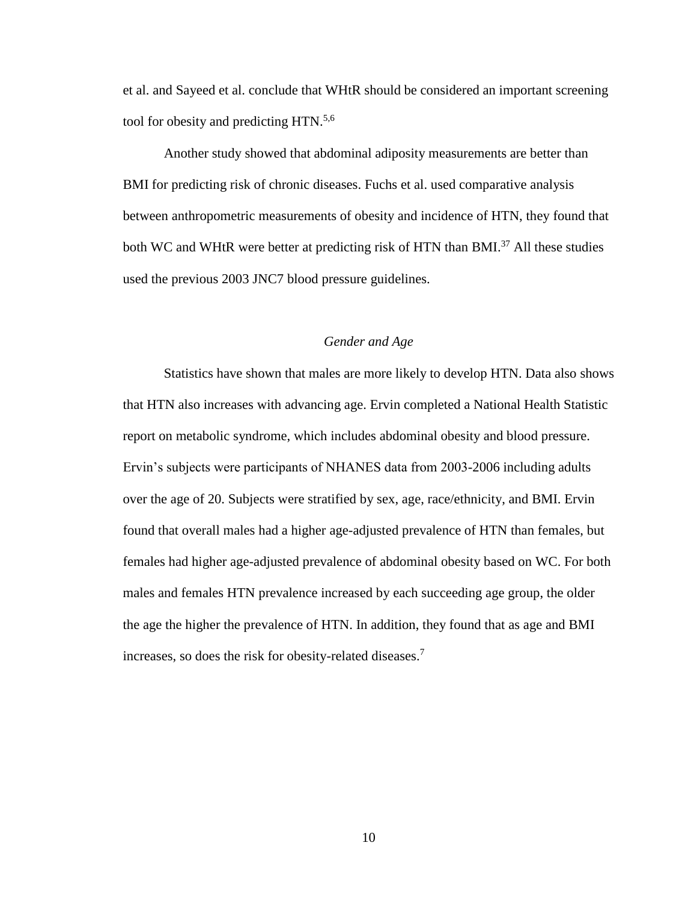et al. and Sayeed et al. conclude that WHtR should be considered an important screening tool for obesity and predicting HTN.<sup>5,6</sup>

Another study showed that abdominal adiposity measurements are better than BMI for predicting risk of chronic diseases. Fuchs et al. used comparative analysis between anthropometric measurements of obesity and incidence of HTN, they found that both WC and WHtR were better at predicting risk of HTN than BMI.<sup>37</sup> All these studies used the previous 2003 JNC7 blood pressure guidelines.

#### *Gender and Age*

Statistics have shown that males are more likely to develop HTN. Data also shows that HTN also increases with advancing age. Ervin completed a National Health Statistic report on metabolic syndrome, which includes abdominal obesity and blood pressure. Ervin's subjects were participants of NHANES data from 2003-2006 including adults over the age of 20. Subjects were stratified by sex, age, race/ethnicity, and BMI. Ervin found that overall males had a higher age-adjusted prevalence of HTN than females, but females had higher age-adjusted prevalence of abdominal obesity based on WC. For both males and females HTN prevalence increased by each succeeding age group, the older the age the higher the prevalence of HTN. In addition, they found that as age and BMI increases, so does the risk for obesity-related diseases. 7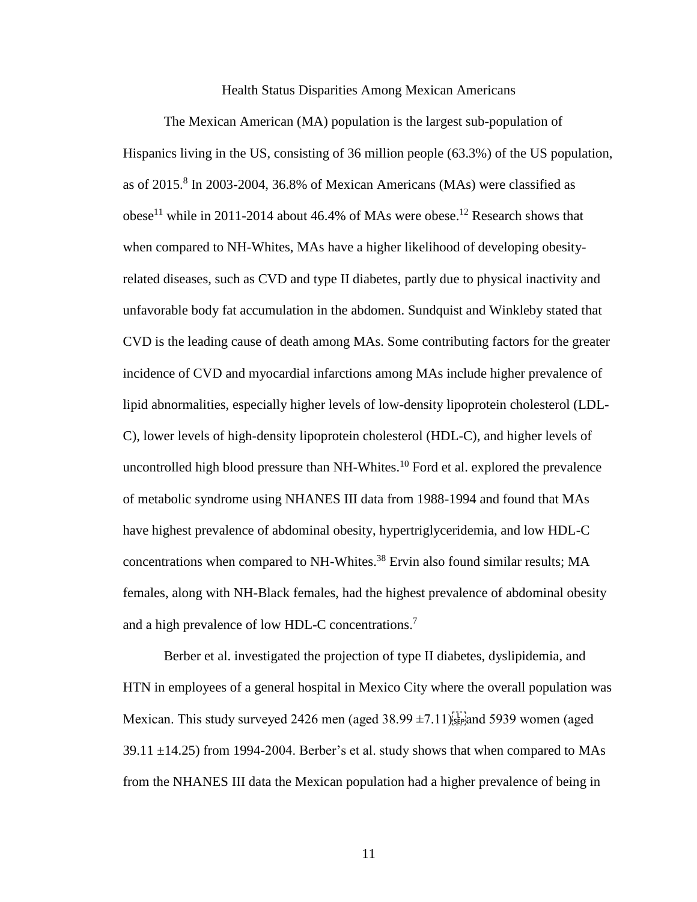#### Health Status Disparities Among Mexican Americans

The Mexican American (MA) population is the largest sub-population of Hispanics living in the US, consisting of 36 million people (63.3%) of the US population, as of 2015. 8 In 2003-2004, 36.8% of Mexican Americans (MAs) were classified as obese<sup>11</sup> while in 2011-2014 about 46.4% of MAs were obese.<sup>12</sup> Research shows that when compared to NH-Whites, MAs have a higher likelihood of developing obesityrelated diseases, such as CVD and type II diabetes, partly due to physical inactivity and unfavorable body fat accumulation in the abdomen. Sundquist and Winkleby stated that CVD is the leading cause of death among MAs. Some contributing factors for the greater incidence of CVD and myocardial infarctions among MAs include higher prevalence of lipid abnormalities, especially higher levels of low-density lipoprotein cholesterol (LDL-C), lower levels of high-density lipoprotein cholesterol (HDL-C), and higher levels of uncontrolled high blood pressure than NH-Whites. <sup>10</sup> Ford et al. explored the prevalence of metabolic syndrome using NHANES III data from 1988-1994 and found that MAs have highest prevalence of abdominal obesity, hypertriglyceridemia, and low HDL-C concentrations when compared to NH-Whites. <sup>38</sup> Ervin also found similar results; MA females, along with NH-Black females, had the highest prevalence of abdominal obesity and a high prevalence of low HDL-C concentrations.<sup>7</sup>

Berber et al. investigated the projection of type II diabetes, dyslipidemia, and HTN in employees of a general hospital in Mexico City where the overall population was Mexican. This study surveyed 2426 men (aged  $38.99 \pm 7.11$ ) $_{\text{SEP}}$  and 5939 women (aged 39.11  $\pm$ 14.25) from 1994-2004. Berber's et al. study shows that when compared to MAs from the NHANES III data the Mexican population had a higher prevalence of being in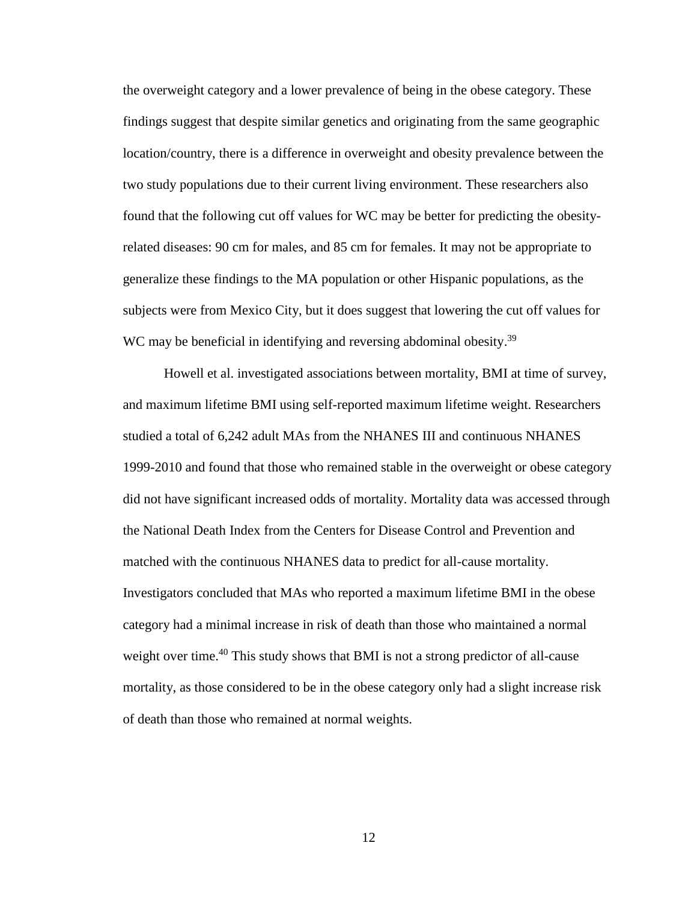the overweight category and a lower prevalence of being in the obese category. These findings suggest that despite similar genetics and originating from the same geographic location/country, there is a difference in overweight and obesity prevalence between the two study populations due to their current living environment. These researchers also found that the following cut off values for WC may be better for predicting the obesityrelated diseases: 90 cm for males, and 85 cm for females. It may not be appropriate to generalize these findings to the MA population or other Hispanic populations, as the subjects were from Mexico City, but it does suggest that lowering the cut off values for WC may be beneficial in identifying and reversing abdominal obesity.<sup>39</sup>

Howell et al. investigated associations between mortality, BMI at time of survey, and maximum lifetime BMI using self-reported maximum lifetime weight. Researchers studied a total of 6,242 adult MAs from the NHANES III and continuous NHANES 1999-2010 and found that those who remained stable in the overweight or obese category did not have significant increased odds of mortality. Mortality data was accessed through the National Death Index from the Centers for Disease Control and Prevention and matched with the continuous NHANES data to predict for all-cause mortality. Investigators concluded that MAs who reported a maximum lifetime BMI in the obese category had a minimal increase in risk of death than those who maintained a normal weight over time.<sup>40</sup> This study shows that BMI is not a strong predictor of all-cause mortality, as those considered to be in the obese category only had a slight increase risk of death than those who remained at normal weights.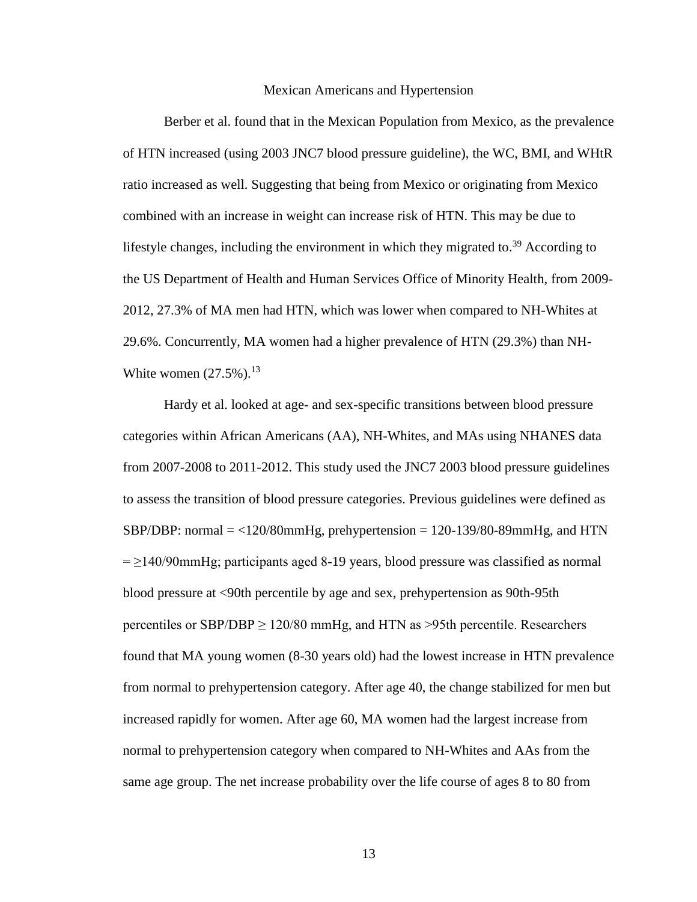#### Mexican Americans and Hypertension

Berber et al. found that in the Mexican Population from Mexico, as the prevalence of HTN increased (using 2003 JNC7 blood pressure guideline), the WC, BMI, and WHtR ratio increased as well. Suggesting that being from Mexico or originating from Mexico combined with an increase in weight can increase risk of HTN. This may be due to lifestyle changes, including the environment in which they migrated to.<sup>39</sup> According to the US Department of Health and Human Services Office of Minority Health, from 2009- 2012, 27.3% of MA men had HTN, which was lower when compared to NH-Whites at 29.6%. Concurrently, MA women had a higher prevalence of HTN (29.3%) than NH-White women  $(27.5\%)$ .<sup>13</sup>

Hardy et al. looked at age- and sex-specific transitions between blood pressure categories within African Americans (AA), NH-Whites, and MAs using NHANES data from 2007-2008 to 2011-2012. This study used the JNC7 2003 blood pressure guidelines to assess the transition of blood pressure categories. Previous guidelines were defined as SBP/DBP: normal  $=$  <120/80mmHg, prehypertension = 120-139/80-89mmHg, and HTN  $= \geq 140/90$ mmHg; participants aged 8-19 years, blood pressure was classified as normal blood pressure at <90th percentile by age and sex, prehypertension as 90th-95th percentiles or SBP/DBP  $\geq$  120/80 mmHg, and HTN as >95th percentile. Researchers found that MA young women (8-30 years old) had the lowest increase in HTN prevalence from normal to prehypertension category. After age 40, the change stabilized for men but increased rapidly for women. After age 60, MA women had the largest increase from normal to prehypertension category when compared to NH-Whites and AAs from the same age group. The net increase probability over the life course of ages 8 to 80 from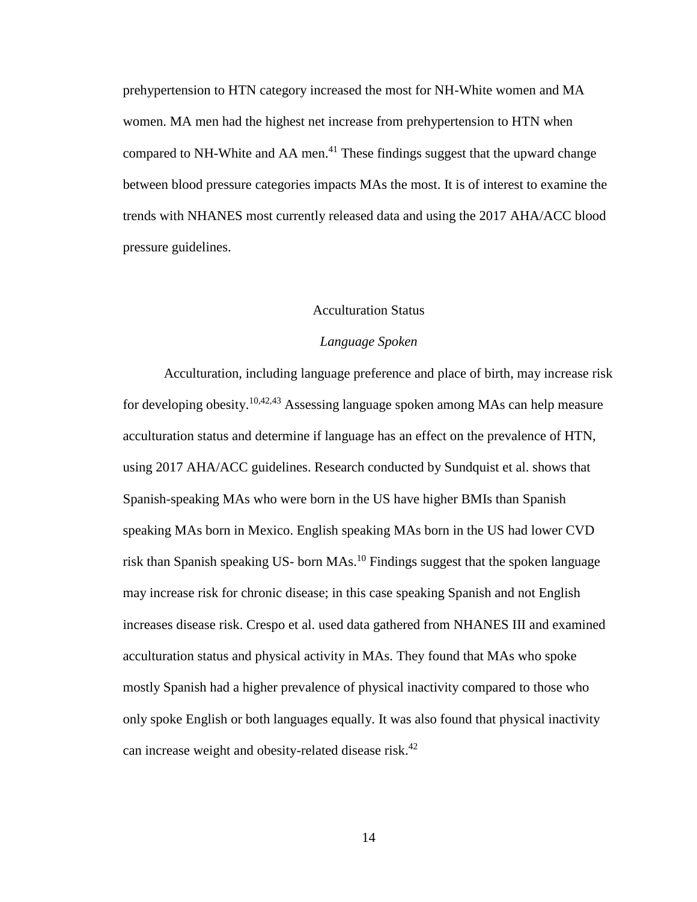prehypertension to HTN category increased the most for NH-White women and MA women. MA men had the highest net increase from prehypertension to HTN when compared to NH-White and AA men. <sup>41</sup> These findings suggest that the upward change between blood pressure categories impacts MAs the most. It is of interest to examine the trends with NHANES most currently released data and using the 2017 AHA/ACC blood pressure guidelines.

#### Acculturation Status

### *Language Spoken*

Acculturation, including language preference and place of birth, may increase risk for developing obesity. 10,42,43 Assessing language spoken among MAs can help measure acculturation status and determine if language has an effect on the prevalence of HTN, using 2017 AHA/ACC guidelines. Research conducted by Sundquist et al. shows that Spanish-speaking MAs who were born in the US have higher BMIs than Spanish speaking MAs born in Mexico. English speaking MAs born in the US had lower CVD risk than Spanish speaking US- born MAs.<sup>10</sup> Findings suggest that the spoken language may increase risk for chronic disease; in this case speaking Spanish and not English increases disease risk. Crespo et al. used data gathered from NHANES III and examined acculturation status and physical activity in MAs. They found that MAs who spoke mostly Spanish had a higher prevalence of physical inactivity compared to those who only spoke English or both languages equally. It was also found that physical inactivity can increase weight and obesity-related disease risk.<sup>42</sup>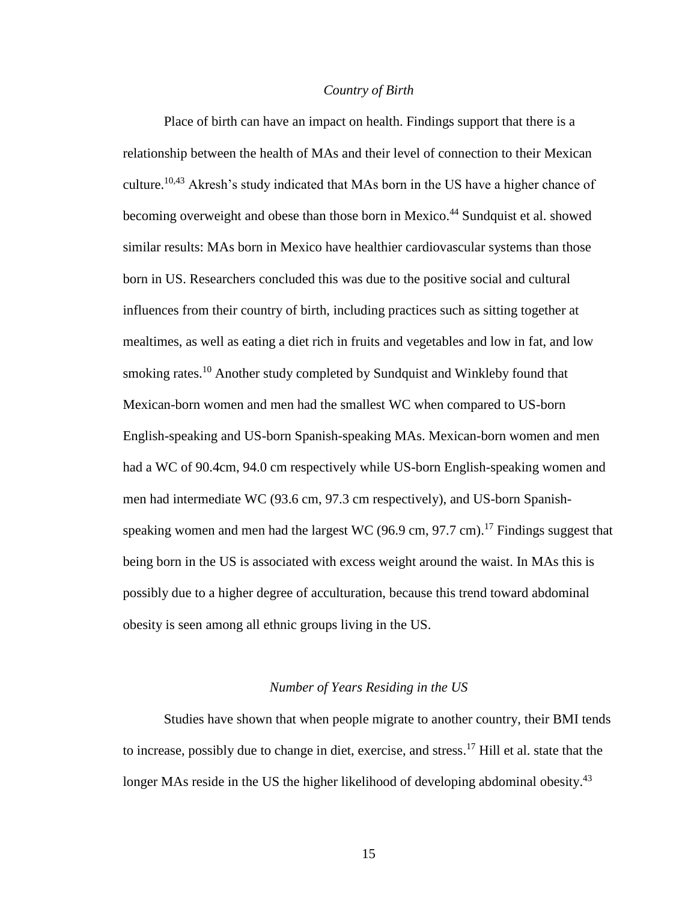#### *Country of Birth*

Place of birth can have an impact on health. Findings support that there is a relationship between the health of MAs and their level of connection to their Mexican culture.<sup>10,43</sup> Akresh's study indicated that MAs born in the US have a higher chance of becoming overweight and obese than those born in Mexico. <sup>44</sup> Sundquist et al. showed similar results: MAs born in Mexico have healthier cardiovascular systems than those born in US. Researchers concluded this was due to the positive social and cultural influences from their country of birth, including practices such as sitting together at mealtimes, as well as eating a diet rich in fruits and vegetables and low in fat, and low smoking rates.<sup>10</sup> Another study completed by Sundquist and Winkleby found that Mexican-born women and men had the smallest WC when compared to US-born English-speaking and US-born Spanish-speaking MAs. Mexican-born women and men had a WC of 90.4cm, 94.0 cm respectively while US-born English-speaking women and men had intermediate WC (93.6 cm, 97.3 cm respectively), and US-born Spanishspeaking women and men had the largest WC (96.9 cm, 97.7 cm).<sup>17</sup> Findings suggest that being born in the US is associated with excess weight around the waist. In MAs this is possibly due to a higher degree of acculturation, because this trend toward abdominal obesity is seen among all ethnic groups living in the US.

#### *Number of Years Residing in the US*

Studies have shown that when people migrate to another country, their BMI tends to increase, possibly due to change in diet, exercise, and stress.<sup>17</sup> Hill et al. state that the longer MAs reside in the US the higher likelihood of developing abdominal obesity.<sup>43</sup>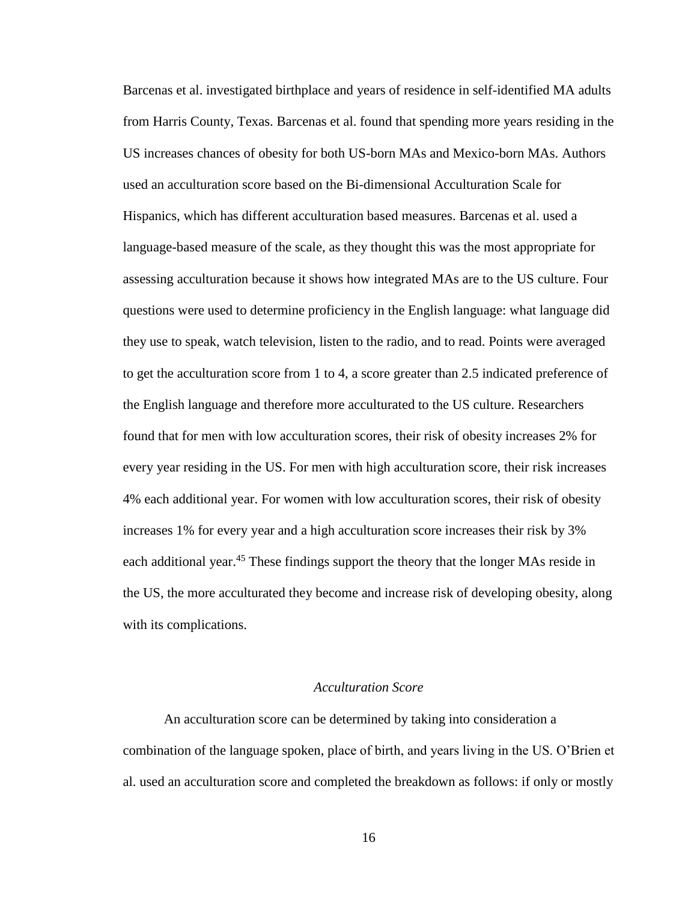Barcenas et al. investigated birthplace and years of residence in self-identified MA adults from Harris County, Texas. Barcenas et al. found that spending more years residing in the US increases chances of obesity for both US-born MAs and Mexico-born MAs. Authors used an acculturation score based on the Bi-dimensional Acculturation Scale for Hispanics, which has different acculturation based measures. Barcenas et al. used a language-based measure of the scale, as they thought this was the most appropriate for assessing acculturation because it shows how integrated MAs are to the US culture. Four questions were used to determine proficiency in the English language: what language did they use to speak, watch television, listen to the radio, and to read. Points were averaged to get the acculturation score from 1 to 4, a score greater than 2.5 indicated preference of the English language and therefore more acculturated to the US culture. Researchers found that for men with low acculturation scores, their risk of obesity increases 2% for every year residing in the US. For men with high acculturation score, their risk increases 4% each additional year. For women with low acculturation scores, their risk of obesity increases 1% for every year and a high acculturation score increases their risk by 3% each additional year.<sup>45</sup> These findings support the theory that the longer MAs reside in the US, the more acculturated they become and increase risk of developing obesity, along with its complications.

#### *Acculturation Score*

An acculturation score can be determined by taking into consideration a combination of the language spoken, place of birth, and years living in the US. O'Brien et al. used an acculturation score and completed the breakdown as follows: if only or mostly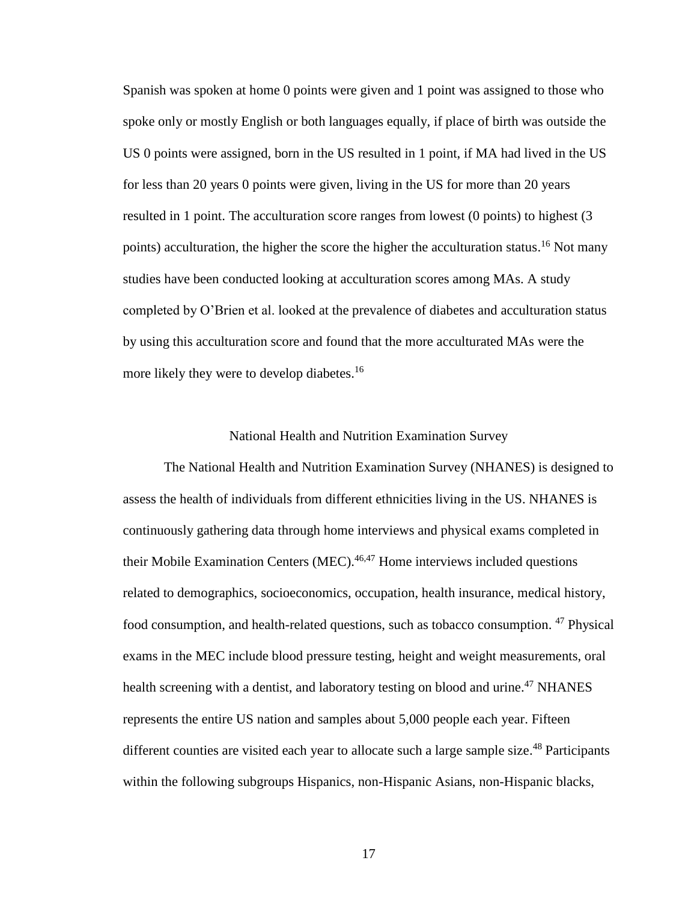Spanish was spoken at home 0 points were given and 1 point was assigned to those who spoke only or mostly English or both languages equally, if place of birth was outside the US 0 points were assigned, born in the US resulted in 1 point, if MA had lived in the US for less than 20 years 0 points were given, living in the US for more than 20 years resulted in 1 point. The acculturation score ranges from lowest (0 points) to highest (3 points) acculturation, the higher the score the higher the acculturation status.<sup>16</sup> Not many studies have been conducted looking at acculturation scores among MAs. A study completed by O'Brien et al. looked at the prevalence of diabetes and acculturation status by using this acculturation score and found that the more acculturated MAs were the more likely they were to develop diabetes.<sup>16</sup>

#### National Health and Nutrition Examination Survey

The National Health and Nutrition Examination Survey (NHANES) is designed to assess the health of individuals from different ethnicities living in the US. NHANES is continuously gathering data through home interviews and physical exams completed in their Mobile Examination Centers (MEC). 46,47 Home interviews included questions related to demographics, socioeconomics, occupation, health insurance, medical history, food consumption, and health-related questions, such as tobacco consumption. <sup>47</sup> Physical exams in the MEC include blood pressure testing, height and weight measurements, oral health screening with a dentist, and laboratory testing on blood and urine.<sup>47</sup> NHANES represents the entire US nation and samples about 5,000 people each year. Fifteen different counties are visited each year to allocate such a large sample size.<sup>48</sup> Participants within the following subgroups Hispanics, non-Hispanic Asians, non-Hispanic blacks,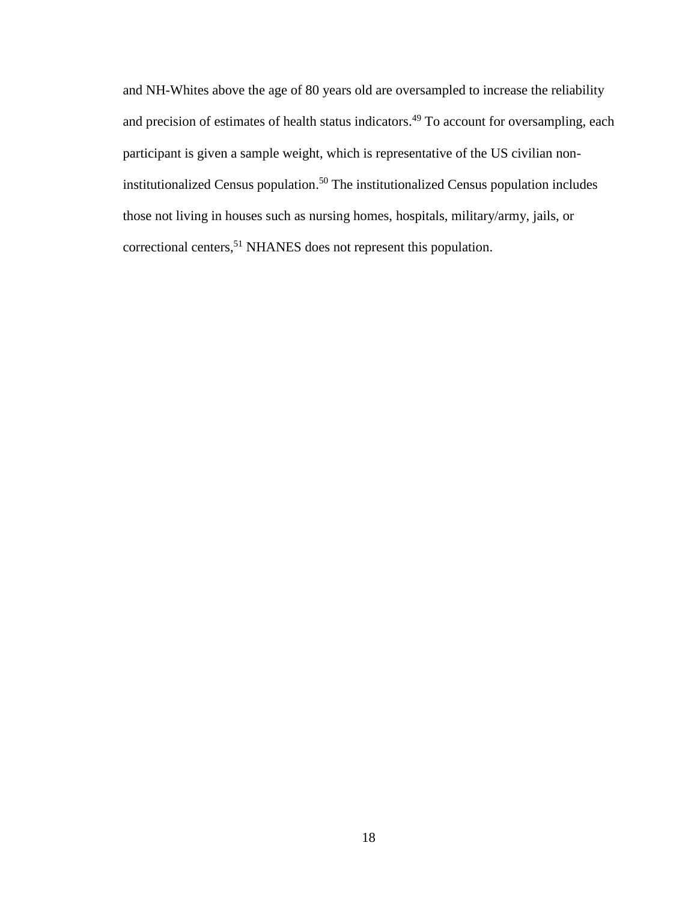and NH-Whites above the age of 80 years old are oversampled to increase the reliability and precision of estimates of health status indicators.<sup>49</sup> To account for oversampling, each participant is given a sample weight, which is representative of the US civilian noninstitutionalized Census population. <sup>50</sup> The institutionalized Census population includes those not living in houses such as nursing homes, hospitals, military/army, jails, or correctional centers,<sup>51</sup> NHANES does not represent this population.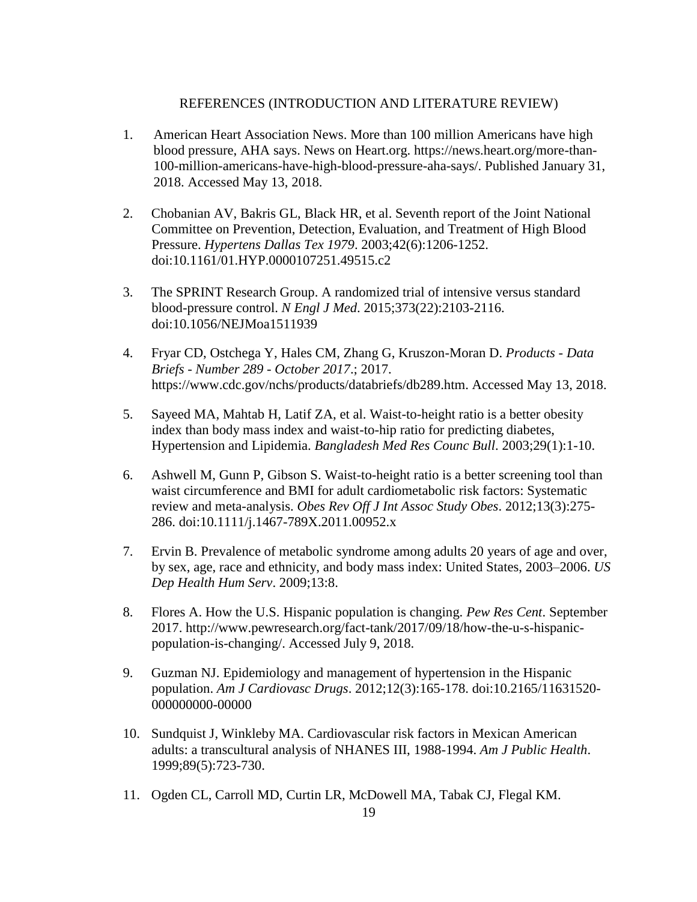## REFERENCES (INTRODUCTION AND LITERATURE REVIEW)

- 1. American Heart Association News. More than 100 million Americans have high blood pressure, AHA says. News on Heart.org. https://news.heart.org/more-than-100-million-americans-have-high-blood-pressure-aha-says/. Published January 31, 2018. Accessed May 13, 2018.
- 2. Chobanian AV, Bakris GL, Black HR, et al. Seventh report of the Joint National Committee on Prevention, Detection, Evaluation, and Treatment of High Blood Pressure. *Hypertens Dallas Tex 1979*. 2003;42(6):1206-1252. doi:10.1161/01.HYP.0000107251.49515.c2
- 3. The SPRINT Research Group. A randomized trial of intensive versus standard blood-pressure control. *N Engl J Med*. 2015;373(22):2103-2116. doi:10.1056/NEJMoa1511939
- 4. Fryar CD, Ostchega Y, Hales CM, Zhang G, Kruszon-Moran D. *Products - Data Briefs - Number 289 - October 2017*.; 2017. https://www.cdc.gov/nchs/products/databriefs/db289.htm. Accessed May 13, 2018.
- 5. Sayeed MA, Mahtab H, Latif ZA, et al. Waist-to-height ratio is a better obesity index than body mass index and waist-to-hip ratio for predicting diabetes, Hypertension and Lipidemia. *Bangladesh Med Res Counc Bull*. 2003;29(1):1-10.
- 6. Ashwell M, Gunn P, Gibson S. Waist-to-height ratio is a better screening tool than waist circumference and BMI for adult cardiometabolic risk factors: Systematic review and meta-analysis. *Obes Rev Off J Int Assoc Study Obes*. 2012;13(3):275- 286. doi:10.1111/j.1467-789X.2011.00952.x
- 7. Ervin B. Prevalence of metabolic syndrome among adults 20 years of age and over, by sex, age, race and ethnicity, and body mass index: United States, 2003–2006. *US Dep Health Hum Serv*. 2009;13:8.
- 8. Flores A. How the U.S. Hispanic population is changing. *Pew Res Cent*. September 2017. http://www.pewresearch.org/fact-tank/2017/09/18/how-the-u-s-hispanicpopulation-is-changing/. Accessed July 9, 2018.
- 9. Guzman NJ. Epidemiology and management of hypertension in the Hispanic population. *Am J Cardiovasc Drugs*. 2012;12(3):165-178. doi:10.2165/11631520- 000000000-00000
- 10. Sundquist J, Winkleby MA. Cardiovascular risk factors in Mexican American adults: a transcultural analysis of NHANES III, 1988-1994. *Am J Public Health*. 1999;89(5):723-730.
- 11. Ogden CL, Carroll MD, Curtin LR, McDowell MA, Tabak CJ, Flegal KM.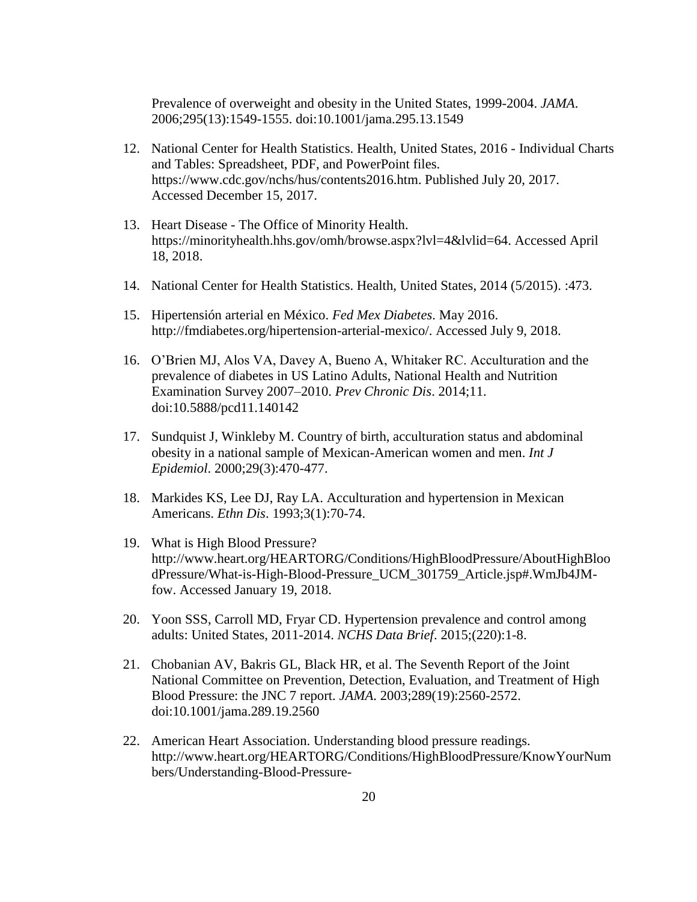Prevalence of overweight and obesity in the United States, 1999-2004. *JAMA*. 2006;295(13):1549-1555. doi:10.1001/jama.295.13.1549

- 12. National Center for Health Statistics. Health, United States, 2016 Individual Charts and Tables: Spreadsheet, PDF, and PowerPoint files. https://www.cdc.gov/nchs/hus/contents2016.htm. Published July 20, 2017. Accessed December 15, 2017.
- 13. Heart Disease The Office of Minority Health. https://minorityhealth.hhs.gov/omh/browse.aspx?lvl=4&lvlid=64. Accessed April 18, 2018.
- 14. National Center for Health Statistics. Health, United States, 2014 (5/2015). :473.
- 15. Hipertensión arterial en México. *Fed Mex Diabetes*. May 2016. http://fmdiabetes.org/hipertension-arterial-mexico/. Accessed July 9, 2018.
- 16. O'Brien MJ, Alos VA, Davey A, Bueno A, Whitaker RC. Acculturation and the prevalence of diabetes in US Latino Adults, National Health and Nutrition Examination Survey 2007–2010. *Prev Chronic Dis*. 2014;11. doi:10.5888/pcd11.140142
- 17. Sundquist J, Winkleby M. Country of birth, acculturation status and abdominal obesity in a national sample of Mexican-American women and men. *Int J Epidemiol*. 2000;29(3):470-477.
- 18. Markides KS, Lee DJ, Ray LA. Acculturation and hypertension in Mexican Americans. *Ethn Dis*. 1993;3(1):70-74.
- 19. What is High Blood Pressure? http://www.heart.org/HEARTORG/Conditions/HighBloodPressure/AboutHighBloo dPressure/What-is-High-Blood-Pressure\_UCM\_301759\_Article.jsp#.WmJb4JMfow. Accessed January 19, 2018.
- 20. Yoon SSS, Carroll MD, Fryar CD. Hypertension prevalence and control among adults: United States, 2011-2014. *NCHS Data Brief*. 2015;(220):1-8.
- 21. Chobanian AV, Bakris GL, Black HR, et al. The Seventh Report of the Joint National Committee on Prevention, Detection, Evaluation, and Treatment of High Blood Pressure: the JNC 7 report. *JAMA*. 2003;289(19):2560-2572. doi:10.1001/jama.289.19.2560
- 22. American Heart Association. Understanding blood pressure readings. http://www.heart.org/HEARTORG/Conditions/HighBloodPressure/KnowYourNum bers/Understanding-Blood-Pressure-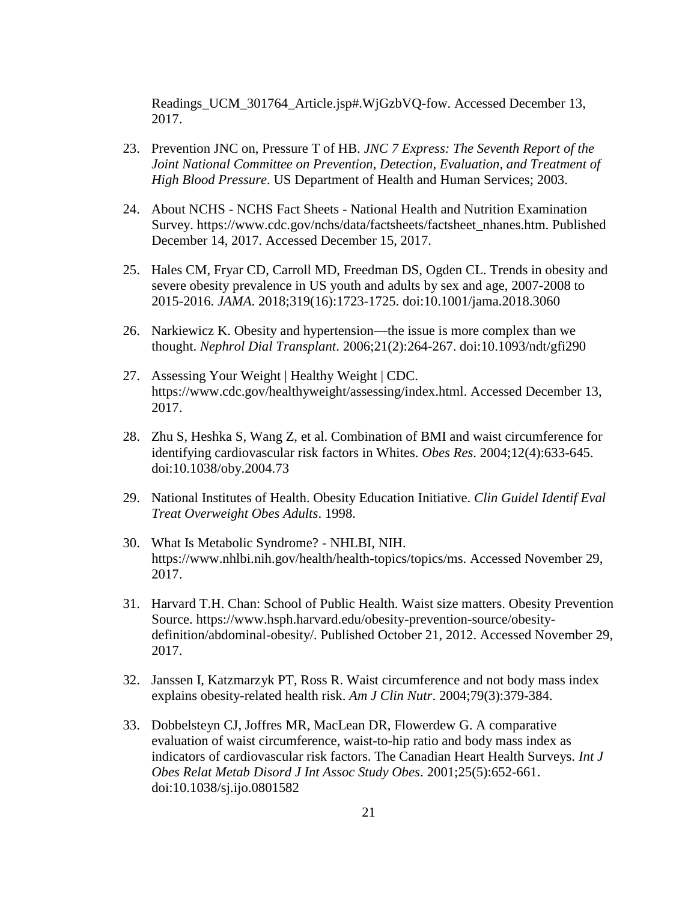Readings\_UCM\_301764\_Article.jsp#.WjGzbVQ-fow. Accessed December 13, 2017.

- 23. Prevention JNC on, Pressure T of HB. *JNC 7 Express: The Seventh Report of the Joint National Committee on Prevention, Detection, Evaluation, and Treatment of High Blood Pressure*. US Department of Health and Human Services; 2003.
- 24. About NCHS NCHS Fact Sheets National Health and Nutrition Examination Survey. https://www.cdc.gov/nchs/data/factsheets/factsheet\_nhanes.htm. Published December 14, 2017. Accessed December 15, 2017.
- 25. Hales CM, Fryar CD, Carroll MD, Freedman DS, Ogden CL. Trends in obesity and severe obesity prevalence in US youth and adults by sex and age, 2007-2008 to 2015-2016. *JAMA*. 2018;319(16):1723-1725. doi:10.1001/jama.2018.3060
- 26. Narkiewicz K. Obesity and hypertension—the issue is more complex than we thought. *Nephrol Dial Transplant*. 2006;21(2):264-267. doi:10.1093/ndt/gfi290
- 27. Assessing Your Weight | Healthy Weight | CDC. https://www.cdc.gov/healthyweight/assessing/index.html. Accessed December 13, 2017.
- 28. Zhu S, Heshka S, Wang Z, et al. Combination of BMI and waist circumference for identifying cardiovascular risk factors in Whites. *Obes Res*. 2004;12(4):633-645. doi:10.1038/oby.2004.73
- 29. National Institutes of Health. Obesity Education Initiative. *Clin Guidel Identif Eval Treat Overweight Obes Adults*. 1998.
- 30. What Is Metabolic Syndrome? NHLBI, NIH. https://www.nhlbi.nih.gov/health/health-topics/topics/ms. Accessed November 29, 2017.
- 31. Harvard T.H. Chan: School of Public Health. Waist size matters. Obesity Prevention Source. https://www.hsph.harvard.edu/obesity-prevention-source/obesitydefinition/abdominal-obesity/. Published October 21, 2012. Accessed November 29, 2017.
- 32. Janssen I, Katzmarzyk PT, Ross R. Waist circumference and not body mass index explains obesity-related health risk. *Am J Clin Nutr*. 2004;79(3):379-384.
- 33. Dobbelsteyn CJ, Joffres MR, MacLean DR, Flowerdew G. A comparative evaluation of waist circumference, waist-to-hip ratio and body mass index as indicators of cardiovascular risk factors. The Canadian Heart Health Surveys. *Int J Obes Relat Metab Disord J Int Assoc Study Obes*. 2001;25(5):652-661. doi:10.1038/sj.ijo.0801582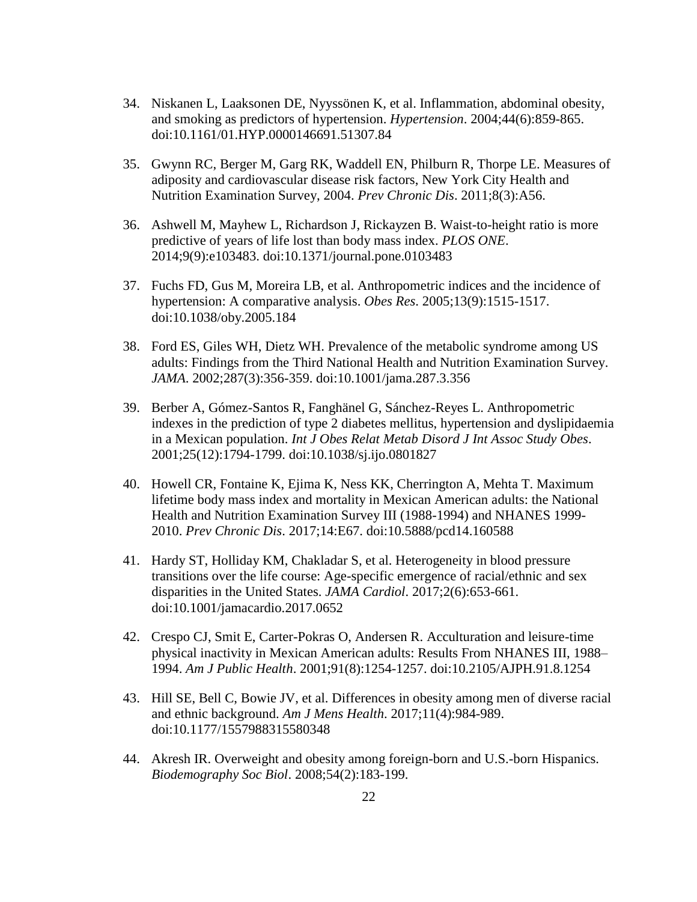- 34. Niskanen L, Laaksonen DE, Nyyssönen K, et al. Inflammation, abdominal obesity, and smoking as predictors of hypertension. *Hypertension*. 2004;44(6):859-865. doi:10.1161/01.HYP.0000146691.51307.84
- 35. Gwynn RC, Berger M, Garg RK, Waddell EN, Philburn R, Thorpe LE. Measures of adiposity and cardiovascular disease risk factors, New York City Health and Nutrition Examination Survey, 2004. *Prev Chronic Dis*. 2011;8(3):A56.
- 36. Ashwell M, Mayhew L, Richardson J, Rickayzen B. Waist-to-height ratio is more predictive of years of life lost than body mass index. *PLOS ONE*. 2014;9(9):e103483. doi:10.1371/journal.pone.0103483
- 37. Fuchs FD, Gus M, Moreira LB, et al. Anthropometric indices and the incidence of hypertension: A comparative analysis. *Obes Res*. 2005;13(9):1515-1517. doi:10.1038/oby.2005.184
- 38. Ford ES, Giles WH, Dietz WH. Prevalence of the metabolic syndrome among US adults: Findings from the Third National Health and Nutrition Examination Survey. *JAMA*. 2002;287(3):356-359. doi:10.1001/jama.287.3.356
- 39. Berber A, Gómez-Santos R, Fanghänel G, Sánchez-Reyes L. Anthropometric indexes in the prediction of type 2 diabetes mellitus, hypertension and dyslipidaemia in a Mexican population. *Int J Obes Relat Metab Disord J Int Assoc Study Obes*. 2001;25(12):1794-1799. doi:10.1038/sj.ijo.0801827
- 40. Howell CR, Fontaine K, Ejima K, Ness KK, Cherrington A, Mehta T. Maximum lifetime body mass index and mortality in Mexican American adults: the National Health and Nutrition Examination Survey III (1988-1994) and NHANES 1999- 2010. *Prev Chronic Dis*. 2017;14:E67. doi:10.5888/pcd14.160588
- 41. Hardy ST, Holliday KM, Chakladar S, et al. Heterogeneity in blood pressure transitions over the life course: Age-specific emergence of racial/ethnic and sex disparities in the United States. *JAMA Cardiol*. 2017;2(6):653-661. doi:10.1001/jamacardio.2017.0652
- 42. Crespo CJ, Smit E, Carter-Pokras O, Andersen R. Acculturation and leisure-time physical inactivity in Mexican American adults: Results From NHANES III, 1988– 1994. *Am J Public Health*. 2001;91(8):1254-1257. doi:10.2105/AJPH.91.8.1254
- 43. Hill SE, Bell C, Bowie JV, et al. Differences in obesity among men of diverse racial and ethnic background. *Am J Mens Health*. 2017;11(4):984-989. doi:10.1177/1557988315580348
- 44. Akresh IR. Overweight and obesity among foreign-born and U.S.-born Hispanics. *Biodemography Soc Biol*. 2008;54(2):183-199.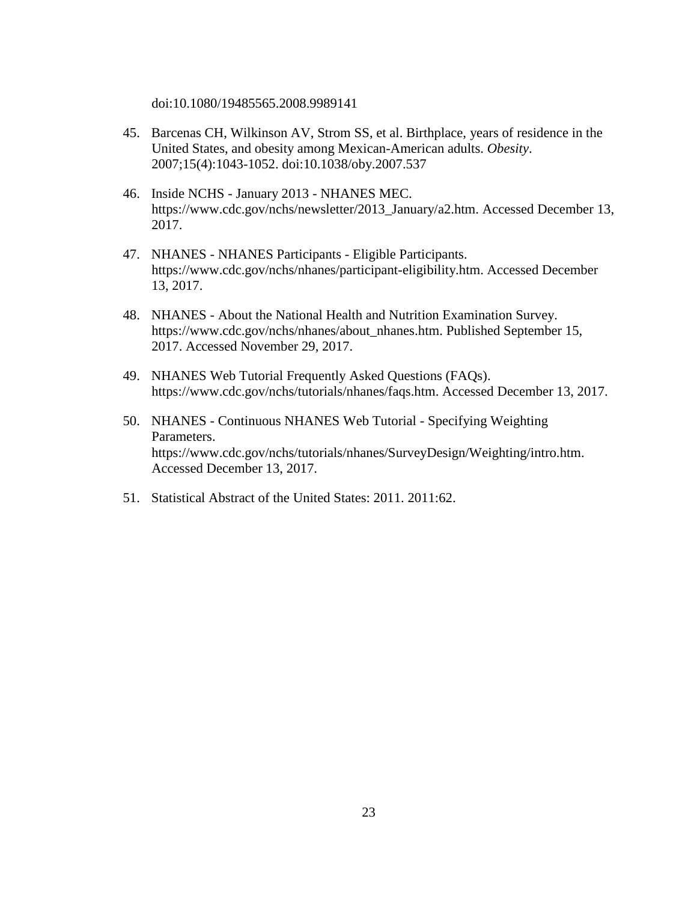doi:10.1080/19485565.2008.9989141

- 45. Barcenas CH, Wilkinson AV, Strom SS, et al. Birthplace, years of residence in the United States, and obesity among Mexican-American adults. *Obesity*. 2007;15(4):1043-1052. doi:10.1038/oby.2007.537
- 46. Inside NCHS January 2013 NHANES MEC. https://www.cdc.gov/nchs/newsletter/2013\_January/a2.htm. Accessed December 13, 2017.
- 47. NHANES NHANES Participants Eligible Participants. https://www.cdc.gov/nchs/nhanes/participant-eligibility.htm. Accessed December 13, 2017.
- 48. NHANES About the National Health and Nutrition Examination Survey. https://www.cdc.gov/nchs/nhanes/about\_nhanes.htm. Published September 15, 2017. Accessed November 29, 2017.
- 49. NHANES Web Tutorial Frequently Asked Questions (FAQs). https://www.cdc.gov/nchs/tutorials/nhanes/faqs.htm. Accessed December 13, 2017.
- 50. NHANES Continuous NHANES Web Tutorial Specifying Weighting Parameters. https://www.cdc.gov/nchs/tutorials/nhanes/SurveyDesign/Weighting/intro.htm. Accessed December 13, 2017.
- 51. Statistical Abstract of the United States: 2011. 2011:62.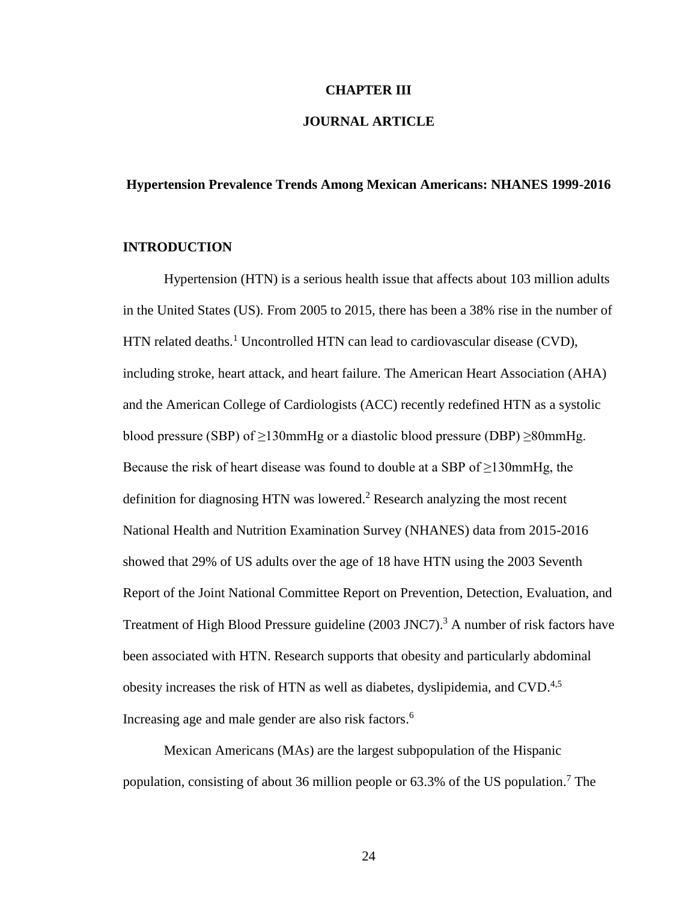#### **CHAPTER III**

## **JOURNAL ARTICLE**

#### **Hypertension Prevalence Trends Among Mexican Americans: NHANES 1999-2016**

#### **INTRODUCTION**

Hypertension (HTN) is a serious health issue that affects about 103 million adults in the United States (US). From 2005 to 2015, there has been a 38% rise in the number of HTN related deaths.<sup>1</sup> Uncontrolled HTN can lead to cardiovascular disease (CVD), including stroke, heart attack, and heart failure. The American Heart Association (AHA) and the American College of Cardiologists (ACC) recently redefined HTN as a systolic blood pressure (SBP) of  $\geq$ 130mmHg or a diastolic blood pressure (DBP)  $\geq$ 80mmHg. Because the risk of heart disease was found to double at a SBP of  $\geq$ 130mmHg, the definition for diagnosing HTN was lowered. <sup>2</sup> Research analyzing the most recent National Health and Nutrition Examination Survey (NHANES) data from 2015-2016 showed that 29% of US adults over the age of 18 have HTN using the 2003 Seventh Report of the Joint National Committee Report on Prevention, Detection, Evaluation, and Treatment of High Blood Pressure guideline (2003 JNC7).<sup>3</sup> A number of risk factors have been associated with HTN. Research supports that obesity and particularly abdominal obesity increases the risk of HTN as well as diabetes, dyslipidemia, and CVD.<sup>4,5</sup> Increasing age and male gender are also risk factors. 6

Mexican Americans (MAs) are the largest subpopulation of the Hispanic population, consisting of about 36 million people or 63.3% of the US population.<sup>7</sup> The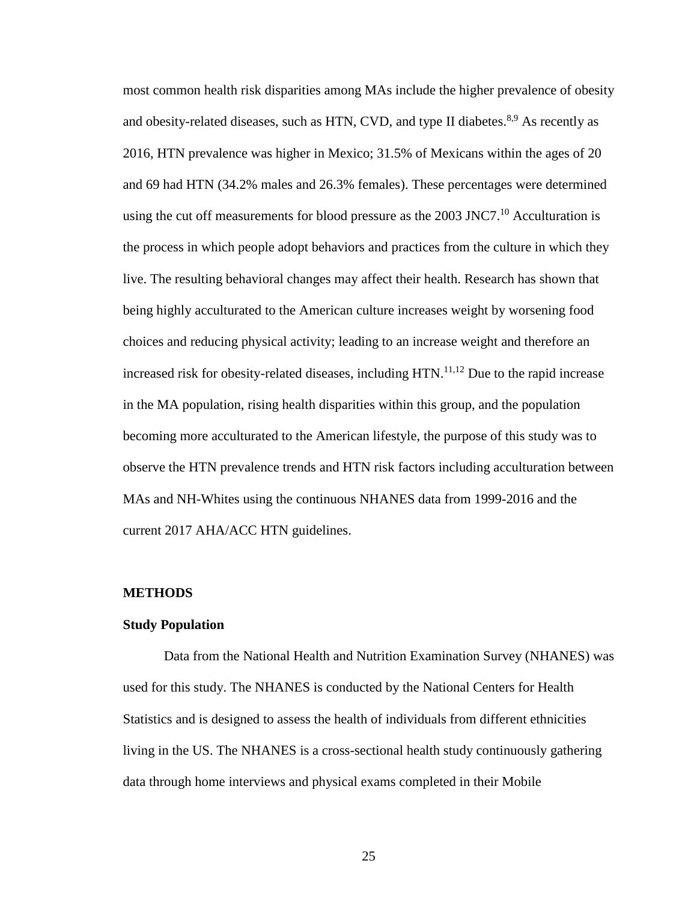most common health risk disparities among MAs include the higher prevalence of obesity and obesity-related diseases, such as HTN, CVD, and type II diabetes.<sup>8,9</sup> As recently as 2016, HTN prevalence was higher in Mexico; 31.5% of Mexicans within the ages of 20 and 69 had HTN (34.2% males and 26.3% females). These percentages were determined using the cut off measurements for blood pressure as the  $2003$  JNC7.<sup>10</sup> Acculturation is the process in which people adopt behaviors and practices from the culture in which they live. The resulting behavioral changes may affect their health. Research has shown that being highly acculturated to the American culture increases weight by worsening food choices and reducing physical activity; leading to an increase weight and therefore an increased risk for obesity-related diseases, including  $HTN$ .<sup>11,12</sup> Due to the rapid increase in the MA population, rising health disparities within this group, and the population becoming more acculturated to the American lifestyle, the purpose of this study was to observe the HTN prevalence trends and HTN risk factors including acculturation between MAs and NH-Whites using the continuous NHANES data from 1999-2016 and the current 2017 AHA/ACC HTN guidelines.

#### **METHODS**

#### **Study Population**

Data from the National Health and Nutrition Examination Survey (NHANES) was used for this study. The NHANES is conducted by the National Centers for Health Statistics and is designed to assess the health of individuals from different ethnicities living in the US. The NHANES is a cross-sectional health study continuously gathering data through home interviews and physical exams completed in their Mobile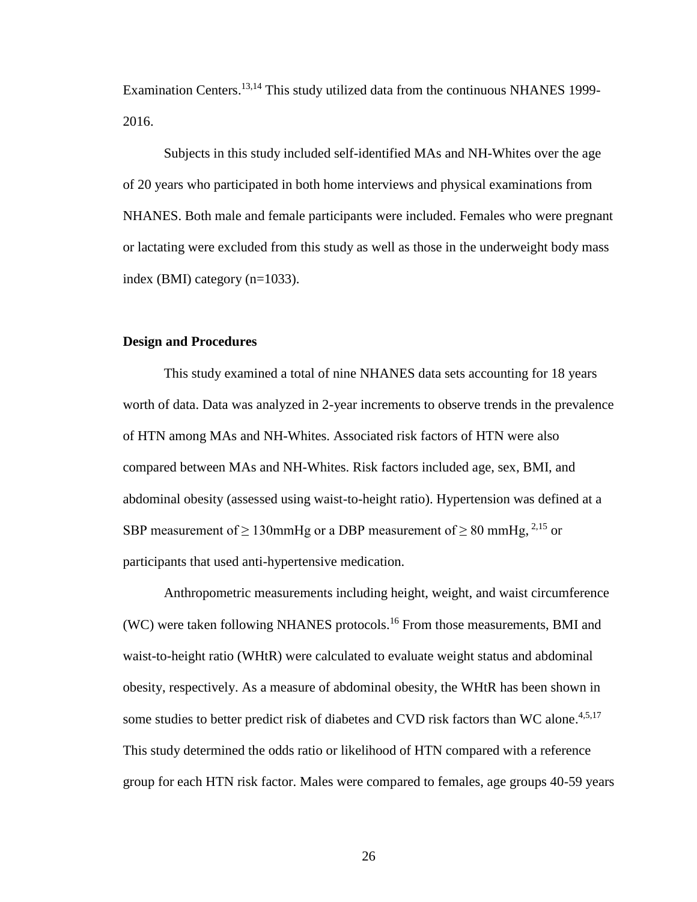Examination Centers.<sup>13,14</sup> This study utilized data from the continuous NHANES 1999-2016.

Subjects in this study included self-identified MAs and NH-Whites over the age of 20 years who participated in both home interviews and physical examinations from NHANES. Both male and female participants were included. Females who were pregnant or lactating were excluded from this study as well as those in the underweight body mass index (BMI) category (n=1033).

#### **Design and Procedures**

This study examined a total of nine NHANES data sets accounting for 18 years worth of data. Data was analyzed in 2-year increments to observe trends in the prevalence of HTN among MAs and NH-Whites. Associated risk factors of HTN were also compared between MAs and NH-Whites. Risk factors included age, sex, BMI, and abdominal obesity (assessed using waist-to-height ratio). Hypertension was defined at a SBP measurement of  $\geq 130$ mmHg or a DBP measurement of  $\geq 80$  mmHg, <sup>2,15</sup> or participants that used anti-hypertensive medication.

Anthropometric measurements including height, weight, and waist circumference (WC) were taken following NHANES protocols. <sup>16</sup> From those measurements, BMI and waist-to-height ratio (WHtR) were calculated to evaluate weight status and abdominal obesity, respectively. As a measure of abdominal obesity, the WHtR has been shown in some studies to better predict risk of diabetes and CVD risk factors than WC alone.<sup>4,5,17</sup> This study determined the odds ratio or likelihood of HTN compared with a reference group for each HTN risk factor. Males were compared to females, age groups 40-59 years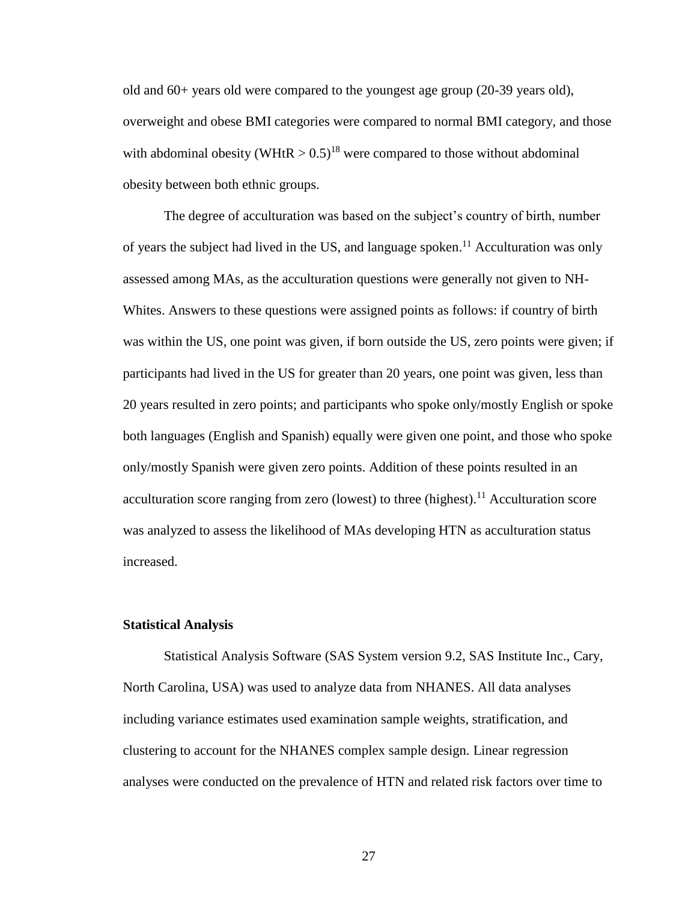old and 60+ years old were compared to the youngest age group (20-39 years old), overweight and obese BMI categories were compared to normal BMI category, and those with abdominal obesity (WHtR  $> 0.5$ )<sup>18</sup> were compared to those without abdominal obesity between both ethnic groups.

The degree of acculturation was based on the subject's country of birth, number of years the subject had lived in the US, and language spoken.<sup>11</sup> Acculturation was only assessed among MAs, as the acculturation questions were generally not given to NH-Whites. Answers to these questions were assigned points as follows: if country of birth was within the US, one point was given, if born outside the US, zero points were given; if participants had lived in the US for greater than 20 years, one point was given, less than 20 years resulted in zero points; and participants who spoke only/mostly English or spoke both languages (English and Spanish) equally were given one point, and those who spoke only/mostly Spanish were given zero points. Addition of these points resulted in an acculturation score ranging from zero (lowest) to three (highest).<sup>11</sup> Acculturation score was analyzed to assess the likelihood of MAs developing HTN as acculturation status increased.

#### **Statistical Analysis**

Statistical Analysis Software (SAS System version 9.2, SAS Institute Inc., Cary, North Carolina, USA) was used to analyze data from NHANES. All data analyses including variance estimates used examination sample weights, stratification, and clustering to account for the NHANES complex sample design. Linear regression analyses were conducted on the prevalence of HTN and related risk factors over time to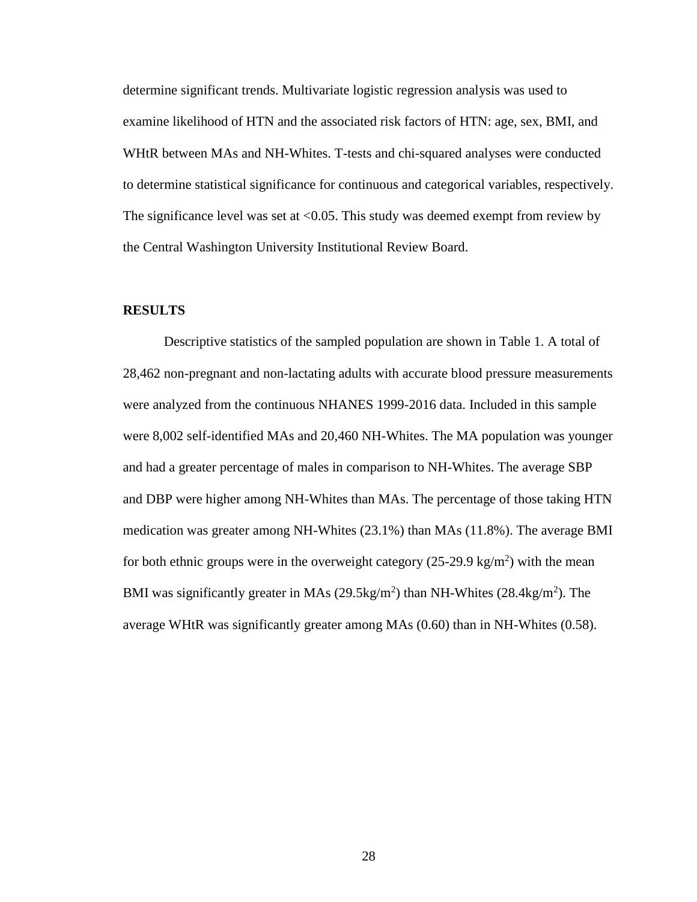determine significant trends. Multivariate logistic regression analysis was used to examine likelihood of HTN and the associated risk factors of HTN: age, sex, BMI, and WHtR between MAs and NH-Whites. T-tests and chi-squared analyses were conducted to determine statistical significance for continuous and categorical variables, respectively. The significance level was set at  $\langle 0.05$ . This study was deemed exempt from review by the Central Washington University Institutional Review Board.

#### **RESULTS**

Descriptive statistics of the sampled population are shown in Table 1. A total of 28,462 non-pregnant and non-lactating adults with accurate blood pressure measurements were analyzed from the continuous NHANES 1999-2016 data. Included in this sample were 8,002 self-identified MAs and 20,460 NH-Whites. The MA population was younger and had a greater percentage of males in comparison to NH-Whites. The average SBP and DBP were higher among NH-Whites than MAs. The percentage of those taking HTN medication was greater among NH-Whites (23.1%) than MAs (11.8%). The average BMI for both ethnic groups were in the overweight category  $(25{\text -}29.9 \text{ kg/m}^2)$  with the mean BMI was significantly greater in MAs  $(29.5 \text{kg/m}^2)$  than NH-Whites  $(28.4 \text{kg/m}^2)$ . The average WHtR was significantly greater among MAs (0.60) than in NH-Whites (0.58).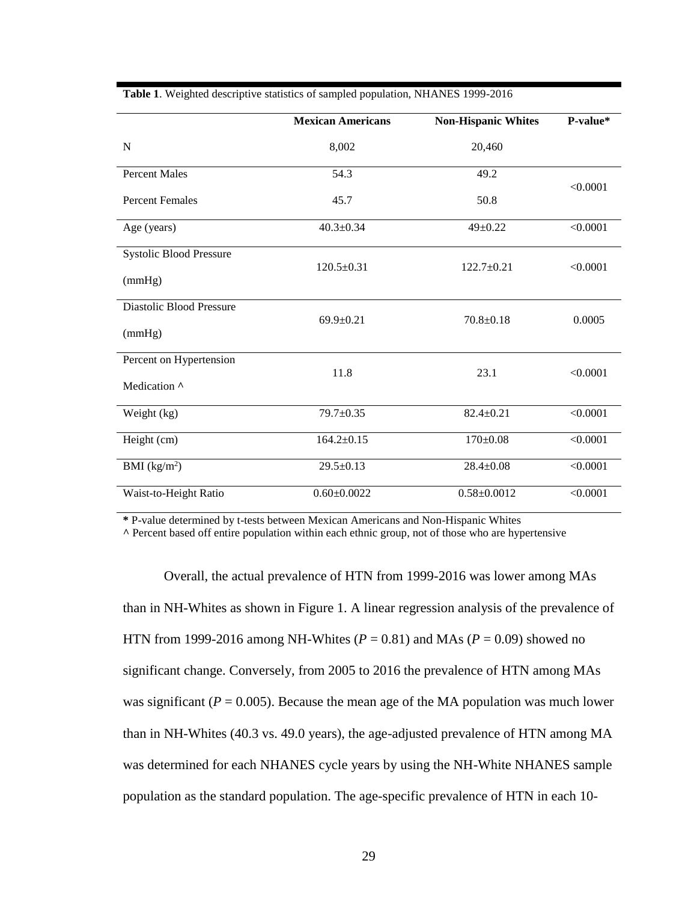|                                | <b>Mexican Americans</b> | <b>Non-Hispanic Whites</b> | P-value* |
|--------------------------------|--------------------------|----------------------------|----------|
| $\mathbf N$                    | 8,002                    | 20,460                     |          |
| <b>Percent Males</b>           | 54.3                     | 49.2                       |          |
| <b>Percent Females</b>         | 45.7                     | 50.8                       | < 0.0001 |
| Age (years)                    | $40.3 \pm 0.34$          | $49 \pm 0.22$              | < 0.0001 |
| <b>Systolic Blood Pressure</b> |                          |                            | < 0.0001 |
| (mmHg)                         | $120.5 \pm 0.31$         | $122.7 \pm 0.21$           |          |
| Diastolic Blood Pressure       | $69.9 \pm 0.21$          | $70.8 \pm 0.18$            | 0.0005   |
| (mmHg)                         |                          |                            |          |
| Percent on Hypertension        | 11.8                     | 23.1                       | < 0.0001 |
| Medication ^                   |                          |                            |          |
| Weight (kg)                    | 79.7±0.35                | $82.4 \pm 0.21$            | < 0.0001 |
| Height (cm)                    | $164.2 \pm 0.15$         | $170 \pm 0.08$             | < 0.0001 |
| BMI $(kg/m2)$                  | $29.5 \pm 0.13$          | $28.4 \pm 0.08$            | < 0.0001 |
| Waist-to-Height Ratio          | $0.60 \pm 0.0022$        | $0.58 \pm 0.0012$          | < 0.0001 |

**Table 1**. Weighted descriptive statistics of sampled population, NHANES 1999-2016

**\*** P-value determined by t-tests between Mexican Americans and Non-Hispanic Whites

**^** Percent based off entire population within each ethnic group, not of those who are hypertensive

Overall, the actual prevalence of HTN from 1999-2016 was lower among MAs than in NH-Whites as shown in Figure 1. A linear regression analysis of the prevalence of HTN from 1999-2016 among NH-Whites ( $P = 0.81$ ) and MAs ( $P = 0.09$ ) showed no significant change. Conversely, from 2005 to 2016 the prevalence of HTN among MAs was significant ( $P = 0.005$ ). Because the mean age of the MA population was much lower than in NH-Whites (40.3 vs. 49.0 years), the age-adjusted prevalence of HTN among MA was determined for each NHANES cycle years by using the NH-White NHANES sample population as the standard population. The age-specific prevalence of HTN in each 10-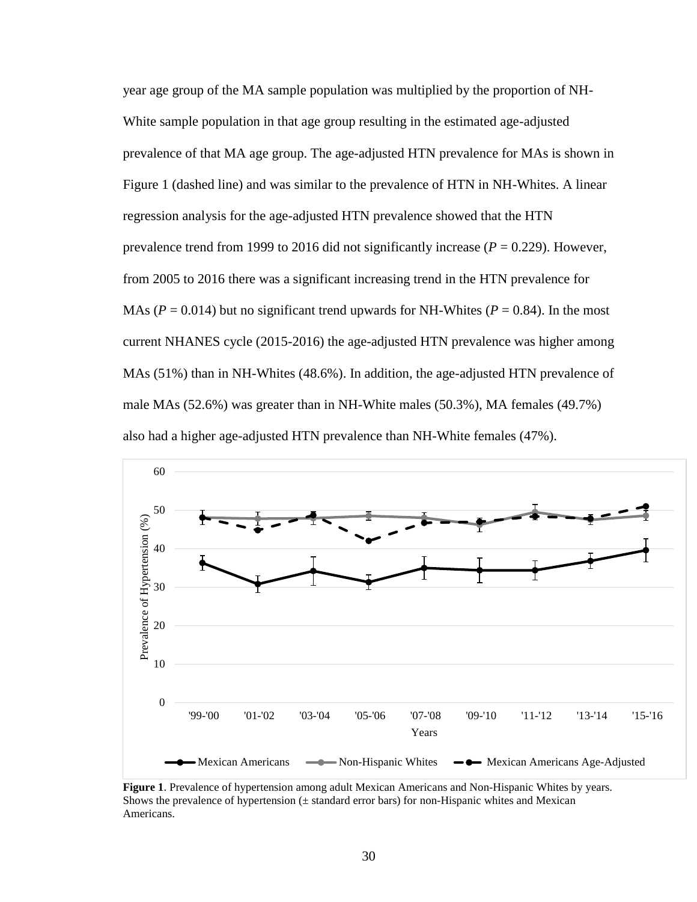year age group of the MA sample population was multiplied by the proportion of NH-White sample population in that age group resulting in the estimated age-adjusted prevalence of that MA age group. The age-adjusted HTN prevalence for MAs is shown in Figure 1 (dashed line) and was similar to the prevalence of HTN in NH-Whites. A linear regression analysis for the age-adjusted HTN prevalence showed that the HTN prevalence trend from 1999 to 2016 did not significantly increase ( $P = 0.229$ ). However, from 2005 to 2016 there was a significant increasing trend in the HTN prevalence for MAs ( $P = 0.014$ ) but no significant trend upwards for NH-Whites ( $P = 0.84$ ). In the most current NHANES cycle (2015-2016) the age-adjusted HTN prevalence was higher among MAs (51%) than in NH-Whites (48.6%). In addition, the age-adjusted HTN prevalence of male MAs (52.6%) was greater than in NH-White males (50.3%), MA females (49.7%) also had a higher age-adjusted HTN prevalence than NH-White females (47%).



**Figure 1**. Prevalence of hypertension among adult Mexican Americans and Non-Hispanic Whites by years. Shows the prevalence of hypertension  $(\pm$  standard error bars) for non-Hispanic whites and Mexican Americans.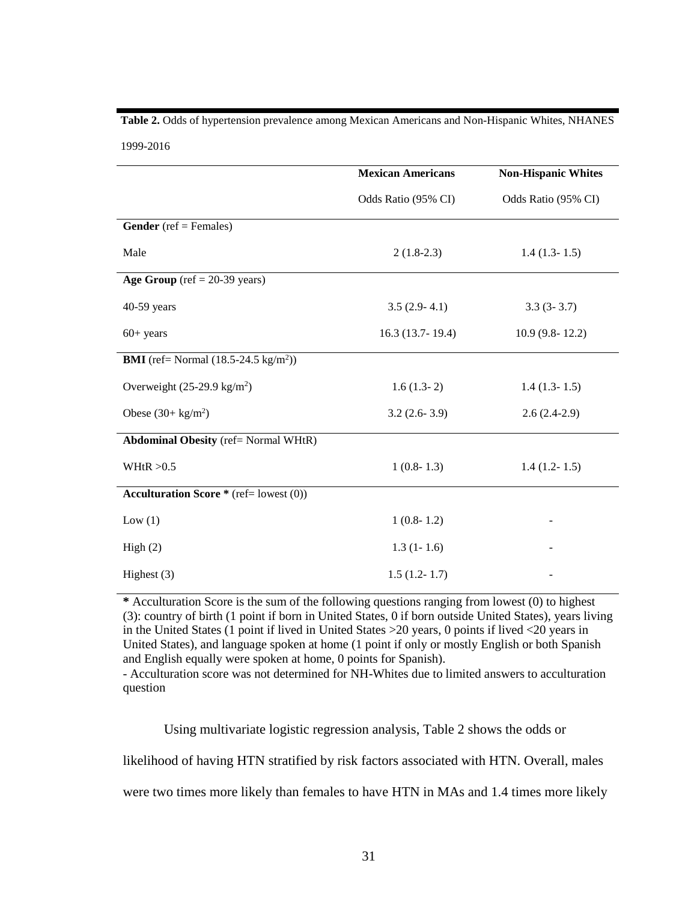# **Table 2.** Odds of hypertension prevalence among Mexican Americans and Non-Hispanic Whites, NHANES

1999-2016

|                                                        | <b>Mexican Americans</b> | <b>Non-Hispanic Whites</b> |
|--------------------------------------------------------|--------------------------|----------------------------|
|                                                        | Odds Ratio (95% CI)      | Odds Ratio (95% CI)        |
| <b>Gender</b> (ref = Females)                          |                          |                            |
| Male                                                   | $2(1.8-2.3)$             | $1.4(1.3-1.5)$             |
| Age Group (ref = $20-39$ years)                        |                          |                            |
| 40-59 years                                            | $3.5(2.9-4.1)$           | $3.3(3-3.7)$               |
| $60+ years$                                            | $16.3(13.7-19.4)$        | $10.9(9.8-12.2)$           |
| <b>BMI</b> (ref= Normal $(18.5-24.5 \text{ kg/m}^2)$ ) |                          |                            |
| Overweight $(25-29.9 \text{ kg/m}^2)$                  | $1.6(1.3-2)$             | $1.4(1.3-1.5)$             |
| Obese $(30 + \text{kg/m}^2)$                           | $3.2(2.6-3.9)$           | $2.6(2.4-2.9)$             |
| <b>Abdominal Obesity</b> (ref= Normal WHtR)            |                          |                            |
| WHtR $>0.5$                                            | $1(0.8-1.3)$             | $1.4(1.2-1.5)$             |
| <b>Acculturation Score</b> * (ref= lowest $(0)$ )      |                          |                            |
| Low(1)                                                 | $1(0.8-1.2)$             |                            |
| High(2)                                                | $1.3(1-1.6)$             |                            |
| Highest $(3)$                                          | $1.5(1.2-1.7)$           |                            |

**\*** Acculturation Score is the sum of the following questions ranging from lowest (0) to highest (3): country of birth (1 point if born in United States, 0 if born outside United States), years living in the United States (1 point if lived in United States >20 years, 0 points if lived <20 years in United States), and language spoken at home (1 point if only or mostly English or both Spanish and English equally were spoken at home, 0 points for Spanish).

- Acculturation score was not determined for NH-Whites due to limited answers to acculturation question

Using multivariate logistic regression analysis, Table 2 shows the odds or

likelihood of having HTN stratified by risk factors associated with HTN. Overall, males

were two times more likely than females to have HTN in MAs and 1.4 times more likely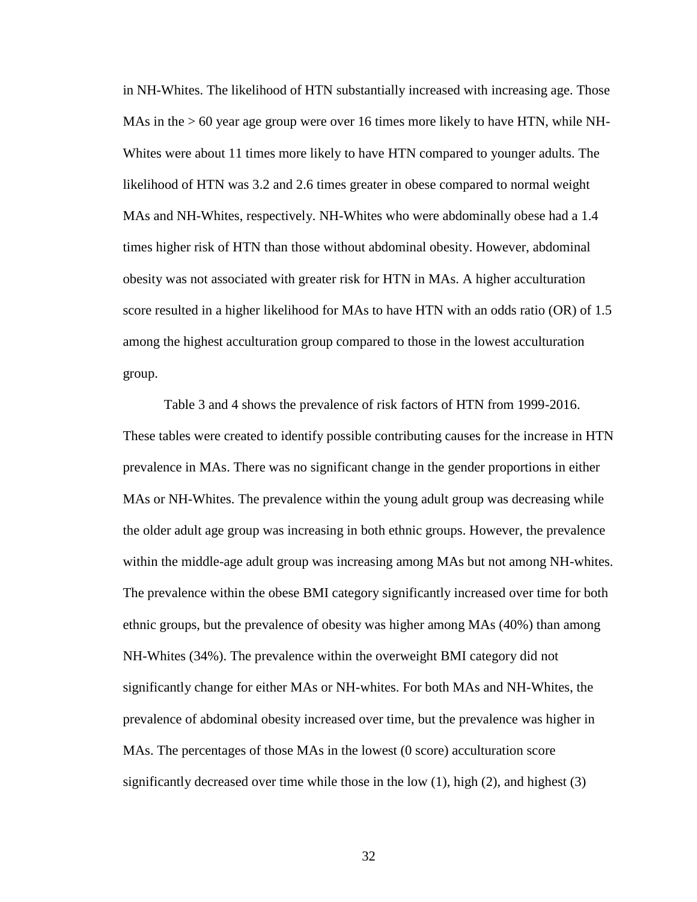in NH-Whites. The likelihood of HTN substantially increased with increasing age. Those MAs in the  $> 60$  year age group were over 16 times more likely to have HTN, while NH-Whites were about 11 times more likely to have HTN compared to younger adults. The likelihood of HTN was 3.2 and 2.6 times greater in obese compared to normal weight MAs and NH-Whites, respectively. NH-Whites who were abdominally obese had a 1.4 times higher risk of HTN than those without abdominal obesity. However, abdominal obesity was not associated with greater risk for HTN in MAs. A higher acculturation score resulted in a higher likelihood for MAs to have HTN with an odds ratio (OR) of 1.5 among the highest acculturation group compared to those in the lowest acculturation group.

Table 3 and 4 shows the prevalence of risk factors of HTN from 1999-2016. These tables were created to identify possible contributing causes for the increase in HTN prevalence in MAs. There was no significant change in the gender proportions in either MAs or NH-Whites. The prevalence within the young adult group was decreasing while the older adult age group was increasing in both ethnic groups. However, the prevalence within the middle-age adult group was increasing among MAs but not among NH-whites. The prevalence within the obese BMI category significantly increased over time for both ethnic groups, but the prevalence of obesity was higher among MAs (40%) than among NH-Whites (34%). The prevalence within the overweight BMI category did not significantly change for either MAs or NH-whites. For both MAs and NH-Whites, the prevalence of abdominal obesity increased over time, but the prevalence was higher in MAs. The percentages of those MAs in the lowest (0 score) acculturation score significantly decreased over time while those in the low (1), high (2), and highest (3)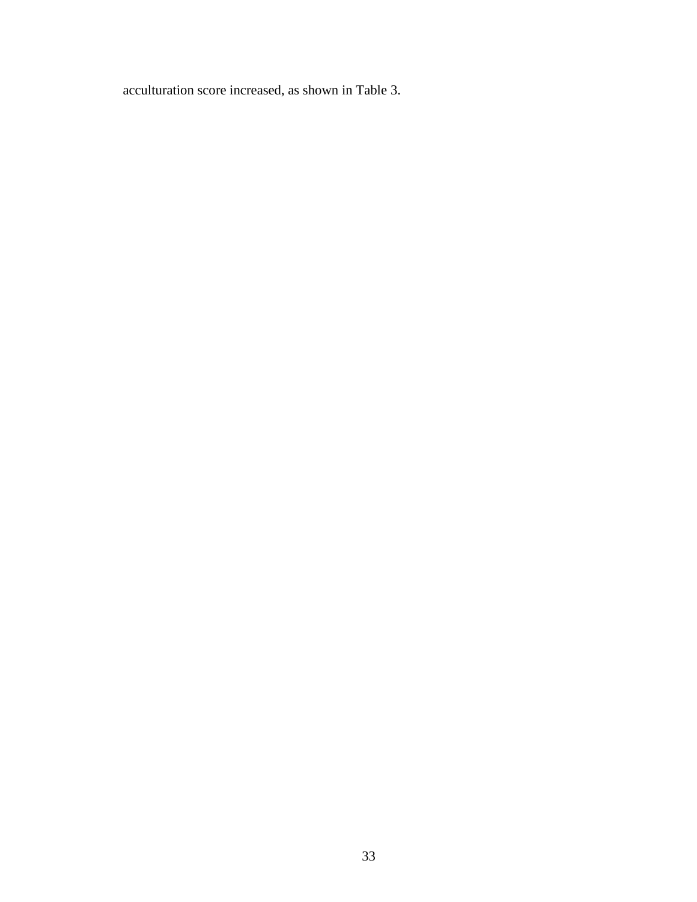acculturation score increased, as shown in Table 3.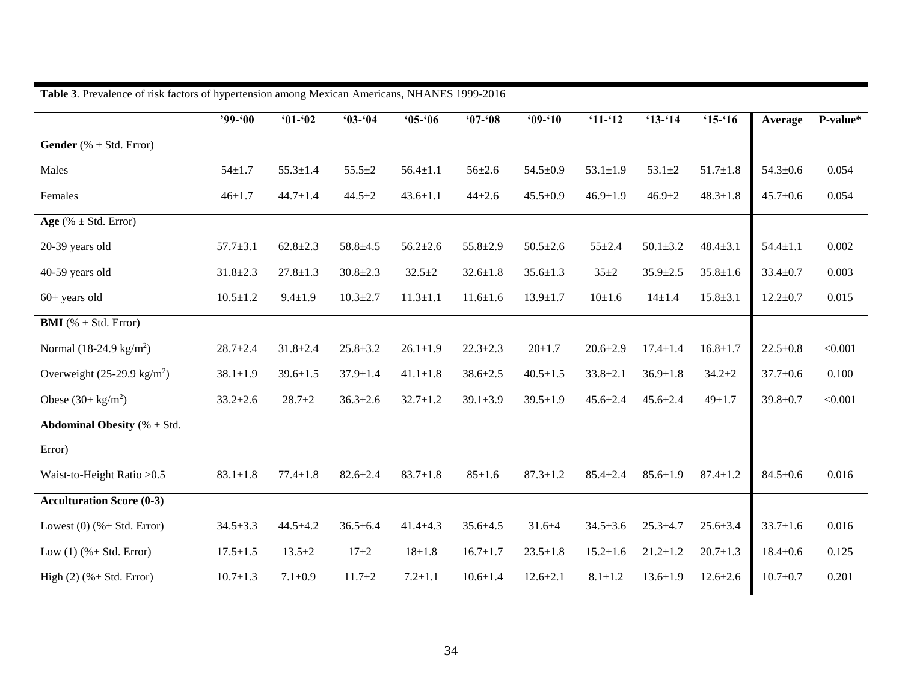|                                          | $99 - 00$      | $01 - 02$      | $03 - 04$      | $05 - 06$      | $07 - 08$      | $09 - 10$      | $`11-`12$      | $'13 - 14$     | $15 - 16$      | Average        | P-value* |
|------------------------------------------|----------------|----------------|----------------|----------------|----------------|----------------|----------------|----------------|----------------|----------------|----------|
| <b>Gender</b> (% $\pm$ Std. Error)       |                |                |                |                |                |                |                |                |                |                |          |
| Males                                    | $54 \pm 1.7$   | $55.3 \pm 1.4$ | $55.5 + 2$     | $56.4 \pm 1.1$ | $56 \pm 2.6$   | $54.5 \pm 0.9$ | $53.1 \pm 1.9$ | $53.1 + 2$     | $51.7 \pm 1.8$ | $54.3 \pm 0.6$ | 0.054    |
| Females                                  | $46 + 1.7$     | $44.7 \pm 1.4$ | $44.5 \pm 2$   | $43.6 \pm 1.1$ | $44 + 2.6$     | $45.5 \pm 0.9$ | $46.9 \pm 1.9$ | $46.9 \pm 2$   | $48.3 \pm 1.8$ | $45.7 \pm 0.6$ | 0.054    |
| Age (% $\pm$ Std. Error)                 |                |                |                |                |                |                |                |                |                |                |          |
| 20-39 years old                          | $57.7 \pm 3.1$ | $62.8 \pm 2.3$ | $58.8 + 4.5$   | $56.2 \pm 2.6$ | $55.8 \pm 2.9$ | $50.5 \pm 2.6$ | $55 + 2.4$     | $50.1 + 3.2$   | $48.4 \pm 3.1$ | $54.4 \pm 1.1$ | 0.002    |
| 40-59 years old                          | $31.8 \pm 2.3$ | $27.8 \pm 1.3$ | $30.8 \pm 2.3$ | $32.5 + 2$     | $32.6 \pm 1.8$ | $35.6 \pm 1.3$ | $35 + 2$       | $35.9 \pm 2.5$ | $35.8 \pm 1.6$ | $33.4 \pm 0.7$ | 0.003    |
| $60+$ years old                          | $10.5 \pm 1.2$ | $9.4 \pm 1.9$  | $10.3 \pm 2.7$ | $11.3 \pm 1.1$ | $11.6 \pm 1.6$ | $13.9 \pm 1.7$ | $10 \pm 1.6$   | $14 \pm 1.4$   | $15.8 \pm 3.1$ | $12.2 \pm 0.7$ | 0.015    |
| <b>BMI</b> (% $\pm$ Std. Error)          |                |                |                |                |                |                |                |                |                |                |          |
| Normal $(18-24.9 \text{ kg/m}^2)$        | $28.7 + 2.4$   | $31.8 \pm 2.4$ | $25.8 \pm 3.2$ | $26.1 \pm 1.9$ | $22.3 \pm 2.3$ | $20 + 1.7$     | $20.6 \pm 2.9$ | $17.4 \pm 1.4$ | $16.8 \pm 1.7$ | $22.5 \pm 0.8$ | < 0.001  |
| Overweight $(25-29.9 \text{ kg/m}^2)$    | $38.1 \pm 1.9$ | $39.6 \pm 1.5$ | $37.9 \pm 1.4$ | $41.1 \pm 1.8$ | $38.6 \pm 2.5$ | $40.5 \pm 1.5$ | $33.8 \pm 2.1$ | $36.9 \pm 1.8$ | $34.2 + 2$     | $37.7 \pm 0.6$ | 0.100    |
| Obese $(30 + \text{kg/m}^2)$             | $33.2 \pm 2.6$ | $28.7 + 2$     | $36.3 \pm 2.6$ | $32.7 \pm 1.2$ | $39.1 \pm 3.9$ | $39.5 \pm 1.9$ | $45.6 \pm 2.4$ | $45.6 \pm 2.4$ | $49 + 1.7$     | $39.8 \pm 0.7$ | < 0.001  |
| <b>Abdominal Obesity</b> ( $% \pm Std$ . |                |                |                |                |                |                |                |                |                |                |          |
| Error)                                   |                |                |                |                |                |                |                |                |                |                |          |
| Waist-to-Height Ratio > 0.5              | $83.1 \pm 1.8$ | $77.4 \pm 1.8$ | $82.6 \pm 2.4$ | $83.7 \pm 1.8$ | $85 + 1.6$     | $87.3 \pm 1.2$ | $85.4 \pm 2.4$ | $85.6 \pm 1.9$ | $87.4 \pm 1.2$ | $84.5 \pm 0.6$ | 0.016    |
| <b>Acculturation Score (0-3)</b>         |                |                |                |                |                |                |                |                |                |                |          |
| Lowest (0) $(\% \pm \text{Std. Error})$  | $34.5 \pm 3.3$ | $44.5 \pm 4.2$ | $36.5 \pm 6.4$ | $41.4 \pm 4.3$ | $35.6 \pm 4.5$ | $31.6 + 4$     | $34.5 \pm 3.6$ | $25.3 \pm 4.7$ | $25.6 \pm 3.4$ | $33.7 \pm 1.6$ | 0.016    |
| Low $(1)$ (% $\pm$ Std. Error)           | $17.5 \pm 1.5$ | $13.5 \pm 2$   | $17 + 2$       | $18 + 1.8$     | $16.7 \pm 1.7$ | $23.5 \pm 1.8$ | $15.2 \pm 1.6$ | $21.2 \pm 1.2$ | $20.7 \pm 1.3$ | $18.4 \pm 0.6$ | 0.125    |
| High $(2)$ (% $\pm$ Std. Error)          | $10.7 \pm 1.3$ | $7.1 \pm 0.9$  | $11.7 + 2$     | $7.2 + 1.1$    | $10.6 \pm 1.4$ | $12.6 \pm 2.1$ | $8.1 \pm 1.2$  | $13.6 \pm 1.9$ | $12.6 \pm 2.6$ | $10.7 \pm 0.7$ | 0.201    |

**Table 3**. Prevalence of risk factors of hypertension among Mexican Americans, NHANES 1999-2016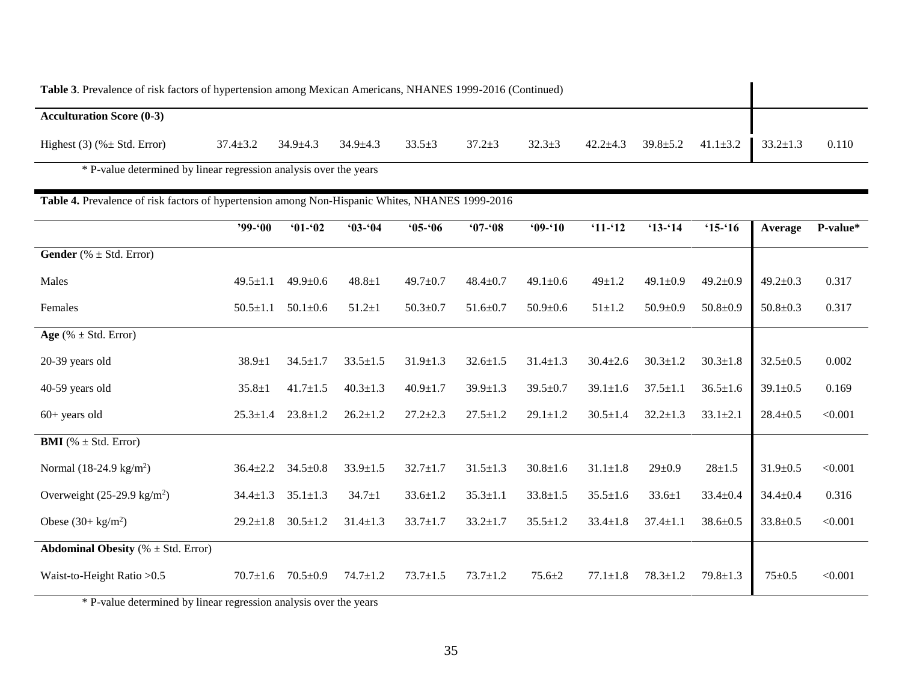| Table 3. Prevalence of risk factors of hypertension among Mexican Americans, NHANES 1999-2016 (Continued) |                |                |                |              |              |              |                |                |                |                |       |
|-----------------------------------------------------------------------------------------------------------|----------------|----------------|----------------|--------------|--------------|--------------|----------------|----------------|----------------|----------------|-------|
| <b>Acculturation Score (0-3)</b>                                                                          |                |                |                |              |              |              |                |                |                |                |       |
| Highest $(3)$ (% $\pm$ Std. Error)                                                                        | $37.4 \pm 3.2$ | $34.9 \pm 4.3$ | $34.9 \pm 4.3$ | $33.5 \pm 3$ | $37.2 \pm 3$ | $32.3 \pm 3$ | $42.2 \pm 4.3$ | $39.8 \pm 5.2$ | $41.1 \pm 3.2$ | $33.2 \pm 1.3$ | 0.110 |

\* P-value determined by linear regression analysis over the years

## **Table 4.** Prevalence of risk factors of hypertension among Non-Hispanic Whites, NHANES 1999-2016

|                                                | $'99 - 00$     | $01 - 02$      | $03 - 04$      | $05 - 06$      | $07 - 08$      | $09 - 10$      | $`11-`12$      | $13 - 14$      | $15 - 16$      | Average        | P-value* |
|------------------------------------------------|----------------|----------------|----------------|----------------|----------------|----------------|----------------|----------------|----------------|----------------|----------|
| <b>Gender</b> (% $\pm$ Std. Error)             |                |                |                |                |                |                |                |                |                |                |          |
| Males                                          | $49.5 \pm 1.1$ | $49.9 \pm 0.6$ | $48.8 \pm 1$   | $49.7 \pm 0.7$ | $48.4 \pm 0.7$ | $49.1 \pm 0.6$ | $49 \pm 1.2$   | $49.1 \pm 0.9$ | $49.2 \pm 0.9$ | $49.2 \pm 0.3$ | 0.317    |
| Females                                        | $50.5 \pm 1.1$ | $50.1 \pm 0.6$ | $51.2 \pm 1$   | $50.3 \pm 0.7$ | $51.6 \pm 0.7$ | $50.9 \pm 0.6$ | $51 \pm 1.2$   | $50.9 \pm 0.9$ | $50.8 \pm 0.9$ | $50.8 \pm 0.3$ | 0.317    |
| Age (% $\pm$ Std. Error)                       |                |                |                |                |                |                |                |                |                |                |          |
| 20-39 years old                                | $38.9 \pm 1$   | $34.5 \pm 1.7$ | $33.5 \pm 1.5$ | $31.9 \pm 1.3$ | $32.6 \pm 1.5$ | $31.4 \pm 1.3$ | $30.4 \pm 2.6$ | $30.3 \pm 1.2$ | $30.3 \pm 1.8$ | $32.5 \pm 0.5$ | 0.002    |
| 40-59 years old                                | $35.8 \pm 1$   | $41.7 \pm 1.5$ | $40.3 \pm 1.3$ | $40.9 \pm 1.7$ | $39.9 \pm 1.3$ | $39.5 \pm 0.7$ | $39.1 \pm 1.6$ | $37.5 \pm 1.1$ | $36.5 \pm 1.6$ | $39.1 \pm 0.5$ | 0.169    |
| $60+$ years old                                | $25.3 \pm 1.4$ | $23.8 \pm 1.2$ | $26.2 \pm 1.2$ | $27.2 \pm 2.3$ | $27.5 \pm 1.2$ | $29.1 \pm 1.2$ | $30.5 \pm 1.4$ | $32.2 \pm 1.3$ | $33.1 \pm 2.1$ | $28.4 \pm 0.5$ | < 0.001  |
| <b>BMI</b> (% $\pm$ Std. Error)                |                |                |                |                |                |                |                |                |                |                |          |
| Normal $(18-24.9 \text{ kg/m}^2)$              | $36.4 \pm 2.2$ | $34.5 \pm 0.8$ | $33.9 \pm 1.5$ | $32.7 \pm 1.7$ | $31.5 \pm 1.3$ | $30.8 \pm 1.6$ | $31.1 \pm 1.8$ | $29 \pm 0.9$   | $28 + 1.5$     | $31.9 \pm 0.5$ | < 0.001  |
| Overweight $(25-29.9 \text{ kg/m}^2)$          | $34.4 \pm 1.3$ | $35.1 \pm 1.3$ | $34.7 \pm 1$   | $33.6 \pm 1.2$ | $35.3 \pm 1.1$ | $33.8 \pm 1.5$ | $35.5 \pm 1.6$ | $33.6 \pm 1$   | $33.4 \pm 0.4$ | $34.4 \pm 0.4$ | 0.316    |
| Obese $(30 + \text{kg/m}^2)$                   | $29.2 \pm 1.8$ | $30.5 \pm 1.2$ | $31.4 \pm 1.3$ | $33.7 \pm 1.7$ | $33.2 \pm 1.7$ | $35.5 \pm 1.2$ | $33.4 \pm 1.8$ | $37.4 \pm 1.1$ | $38.6 \pm 0.5$ | $33.8 \pm 0.5$ | < 0.001  |
| <b>Abdominal Obesity</b> ( $% \pm$ Std. Error) |                |                |                |                |                |                |                |                |                |                |          |
| Waist-to-Height Ratio > 0.5                    | $70.7 \pm 1.6$ | $70.5 \pm 0.9$ | $74.7 \pm 1.2$ | $73.7 \pm 1.5$ | $73.7 \pm 1.2$ | $75.6 \pm 2$   | $77.1 \pm 1.8$ | $78.3 \pm 1.2$ | $79.8 \pm 1.3$ | $75 + 0.5$     | < 0.001  |

\* P-value determined by linear regression analysis over the years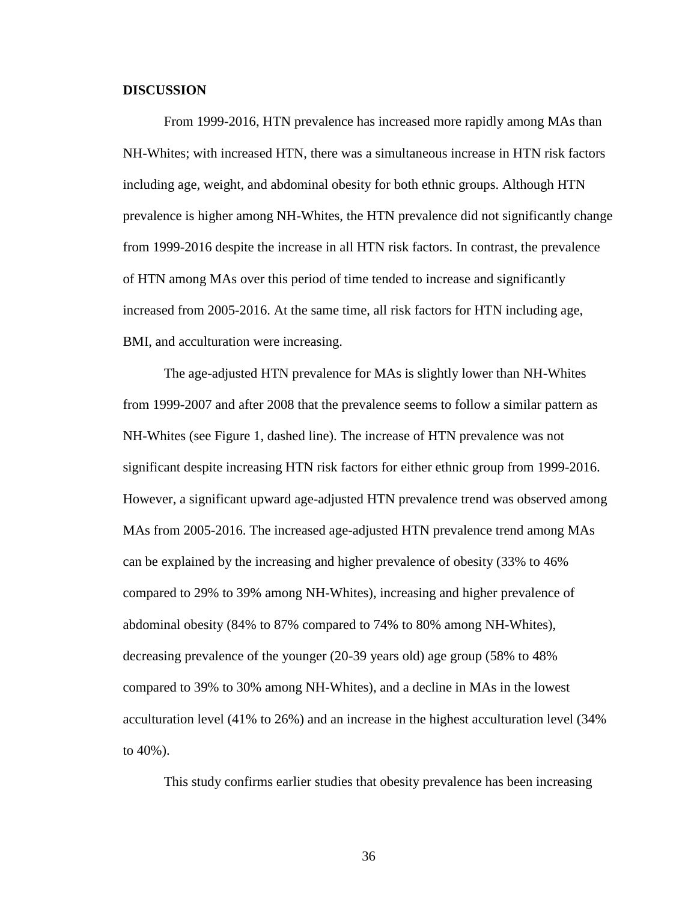#### **DISCUSSION**

From 1999-2016, HTN prevalence has increased more rapidly among MAs than NH-Whites; with increased HTN, there was a simultaneous increase in HTN risk factors including age, weight, and abdominal obesity for both ethnic groups. Although HTN prevalence is higher among NH-Whites, the HTN prevalence did not significantly change from 1999-2016 despite the increase in all HTN risk factors. In contrast, the prevalence of HTN among MAs over this period of time tended to increase and significantly increased from 2005-2016. At the same time, all risk factors for HTN including age, BMI, and acculturation were increasing.

The age-adjusted HTN prevalence for MAs is slightly lower than NH-Whites from 1999-2007 and after 2008 that the prevalence seems to follow a similar pattern as NH-Whites (see Figure 1, dashed line). The increase of HTN prevalence was not significant despite increasing HTN risk factors for either ethnic group from 1999-2016. However, a significant upward age-adjusted HTN prevalence trend was observed among MAs from 2005-2016. The increased age-adjusted HTN prevalence trend among MAs can be explained by the increasing and higher prevalence of obesity (33% to 46% compared to 29% to 39% among NH-Whites), increasing and higher prevalence of abdominal obesity (84% to 87% compared to 74% to 80% among NH-Whites), decreasing prevalence of the younger (20-39 years old) age group (58% to 48% compared to 39% to 30% among NH-Whites), and a decline in MAs in the lowest acculturation level (41% to 26%) and an increase in the highest acculturation level (34% to 40%).

This study confirms earlier studies that obesity prevalence has been increasing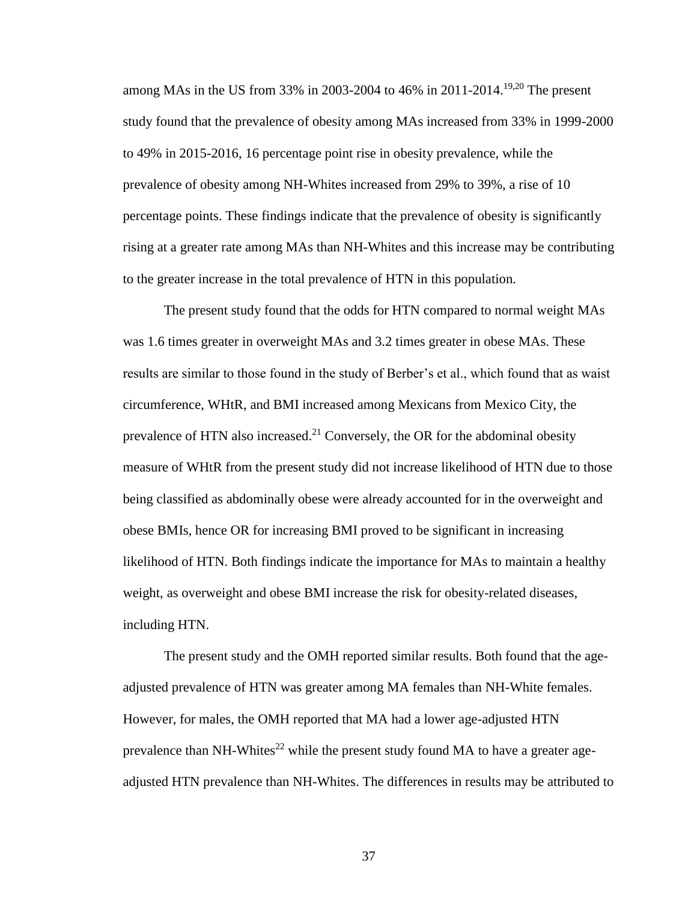among MAs in the US from 33% in 2003-2004 to 46% in 2011-2014.<sup>19,20</sup> The present study found that the prevalence of obesity among MAs increased from 33% in 1999-2000 to 49% in 2015-2016, 16 percentage point rise in obesity prevalence, while the prevalence of obesity among NH-Whites increased from 29% to 39%, a rise of 10 percentage points. These findings indicate that the prevalence of obesity is significantly rising at a greater rate among MAs than NH-Whites and this increase may be contributing to the greater increase in the total prevalence of HTN in this population.

The present study found that the odds for HTN compared to normal weight MAs was 1.6 times greater in overweight MAs and 3.2 times greater in obese MAs. These results are similar to those found in the study of Berber's et al., which found that as waist circumference, WHtR, and BMI increased among Mexicans from Mexico City, the prevalence of HTN also increased.<sup>21</sup> Conversely, the OR for the abdominal obesity measure of WHtR from the present study did not increase likelihood of HTN due to those being classified as abdominally obese were already accounted for in the overweight and obese BMIs, hence OR for increasing BMI proved to be significant in increasing likelihood of HTN. Both findings indicate the importance for MAs to maintain a healthy weight, as overweight and obese BMI increase the risk for obesity-related diseases, including HTN.

The present study and the OMH reported similar results. Both found that the ageadjusted prevalence of HTN was greater among MA females than NH-White females. However, for males, the OMH reported that MA had a lower age-adjusted HTN prevalence than NH-Whites<sup>22</sup> while the present study found MA to have a greater ageadjusted HTN prevalence than NH-Whites. The differences in results may be attributed to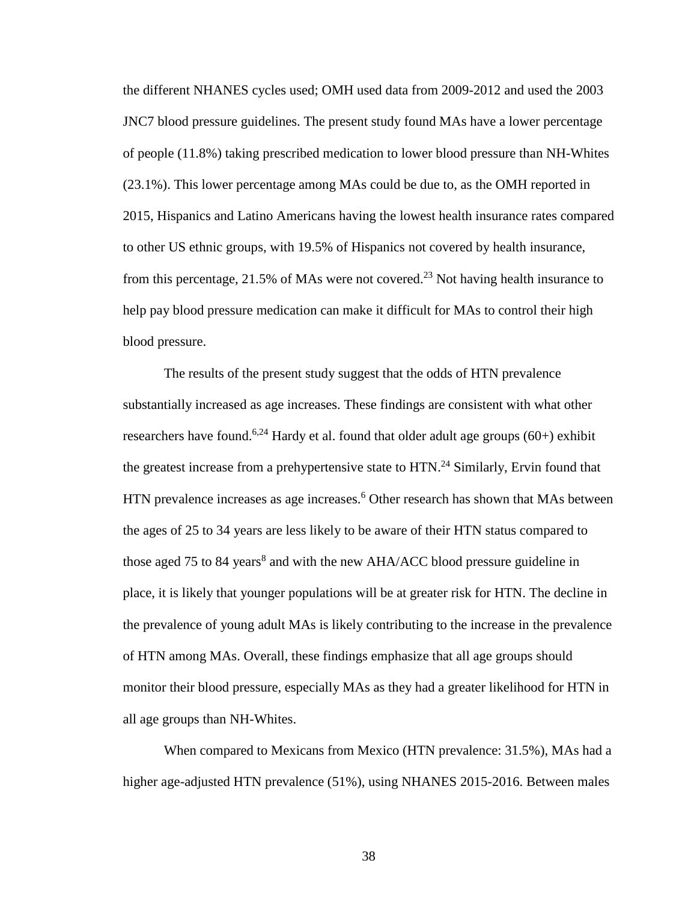the different NHANES cycles used; OMH used data from 2009-2012 and used the 2003 JNC7 blood pressure guidelines. The present study found MAs have a lower percentage of people (11.8%) taking prescribed medication to lower blood pressure than NH-Whites (23.1%). This lower percentage among MAs could be due to, as the OMH reported in 2015, Hispanics and Latino Americans having the lowest health insurance rates compared to other US ethnic groups, with 19.5% of Hispanics not covered by health insurance, from this percentage, 21.5% of MAs were not covered.<sup>23</sup> Not having health insurance to help pay blood pressure medication can make it difficult for MAs to control their high blood pressure.

The results of the present study suggest that the odds of HTN prevalence substantially increased as age increases. These findings are consistent with what other researchers have found.<sup>6,24</sup> Hardy et al. found that older adult age groups  $(60+)$  exhibit the greatest increase from a prehypertensive state to HTN.<sup>24</sup> Similarly, Ervin found that HTN prevalence increases as age increases.<sup>6</sup> Other research has shown that MAs between the ages of 25 to 34 years are less likely to be aware of their HTN status compared to those aged 75 to 84 years<sup>8</sup> and with the new AHA/ACC blood pressure guideline in place, it is likely that younger populations will be at greater risk for HTN. The decline in the prevalence of young adult MAs is likely contributing to the increase in the prevalence of HTN among MAs. Overall, these findings emphasize that all age groups should monitor their blood pressure, especially MAs as they had a greater likelihood for HTN in all age groups than NH-Whites.

When compared to Mexicans from Mexico (HTN prevalence: 31.5%), MAs had a higher age-adjusted HTN prevalence (51%), using NHANES 2015-2016. Between males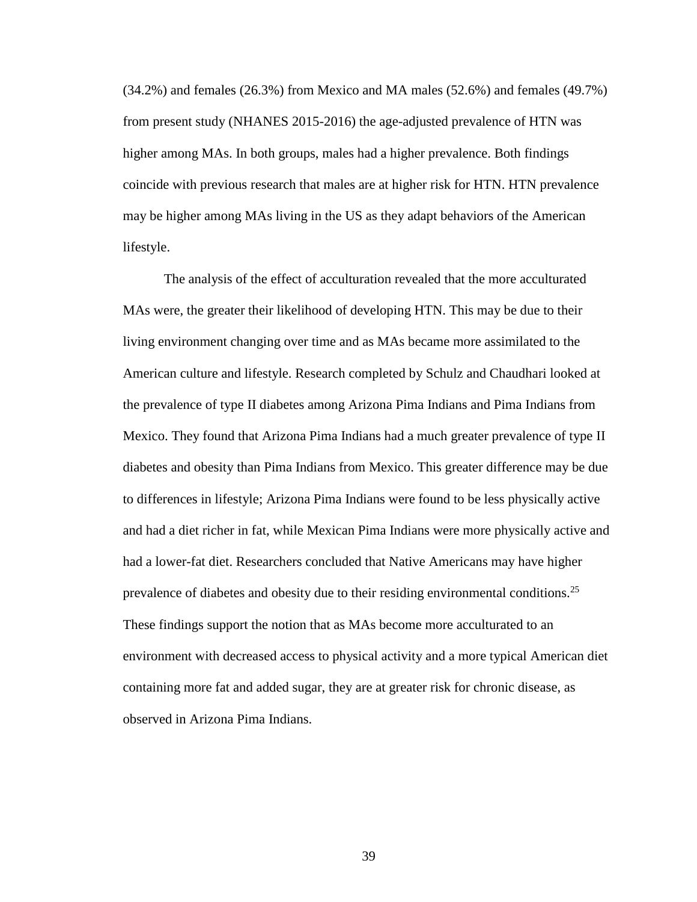(34.2%) and females (26.3%) from Mexico and MA males (52.6%) and females (49.7%) from present study (NHANES 2015-2016) the age-adjusted prevalence of HTN was higher among MAs. In both groups, males had a higher prevalence. Both findings coincide with previous research that males are at higher risk for HTN. HTN prevalence may be higher among MAs living in the US as they adapt behaviors of the American lifestyle.

The analysis of the effect of acculturation revealed that the more acculturated MAs were, the greater their likelihood of developing HTN. This may be due to their living environment changing over time and as MAs became more assimilated to the American culture and lifestyle. Research completed by Schulz and Chaudhari looked at the prevalence of type II diabetes among Arizona Pima Indians and Pima Indians from Mexico. They found that Arizona Pima Indians had a much greater prevalence of type II diabetes and obesity than Pima Indians from Mexico. This greater difference may be due to differences in lifestyle; Arizona Pima Indians were found to be less physically active and had a diet richer in fat, while Mexican Pima Indians were more physically active and had a lower-fat diet. Researchers concluded that Native Americans may have higher prevalence of diabetes and obesity due to their residing environmental conditions.<sup>25</sup> These findings support the notion that as MAs become more acculturated to an environment with decreased access to physical activity and a more typical American diet containing more fat and added sugar, they are at greater risk for chronic disease, as observed in Arizona Pima Indians.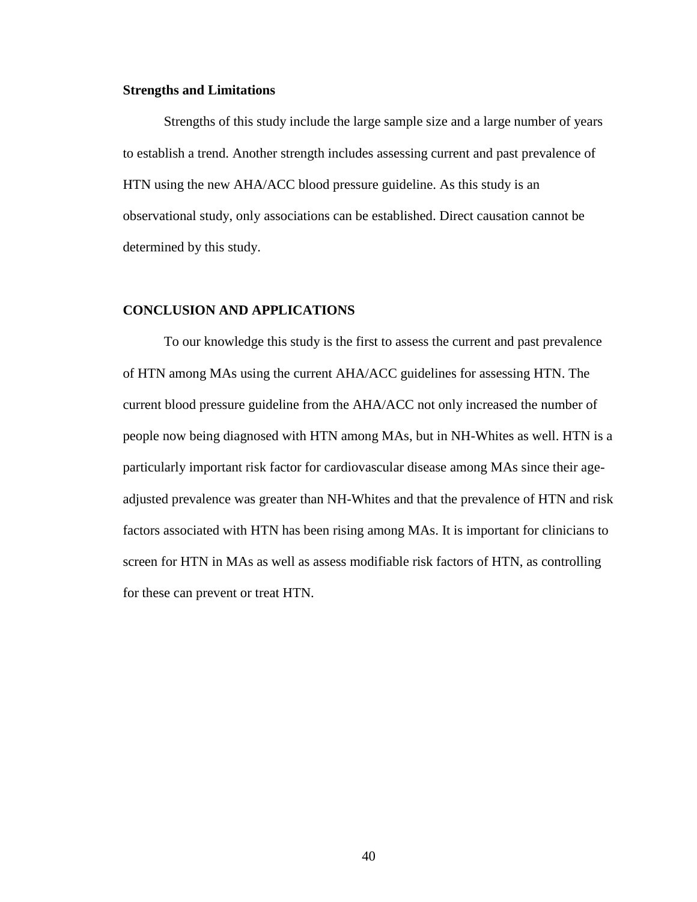#### **Strengths and Limitations**

Strengths of this study include the large sample size and a large number of years to establish a trend. Another strength includes assessing current and past prevalence of HTN using the new AHA/ACC blood pressure guideline. As this study is an observational study, only associations can be established. Direct causation cannot be determined by this study.

#### **CONCLUSION AND APPLICATIONS**

To our knowledge this study is the first to assess the current and past prevalence of HTN among MAs using the current AHA/ACC guidelines for assessing HTN. The current blood pressure guideline from the AHA/ACC not only increased the number of people now being diagnosed with HTN among MAs, but in NH-Whites as well. HTN is a particularly important risk factor for cardiovascular disease among MAs since their ageadjusted prevalence was greater than NH-Whites and that the prevalence of HTN and risk factors associated with HTN has been rising among MAs. It is important for clinicians to screen for HTN in MAs as well as assess modifiable risk factors of HTN, as controlling for these can prevent or treat HTN.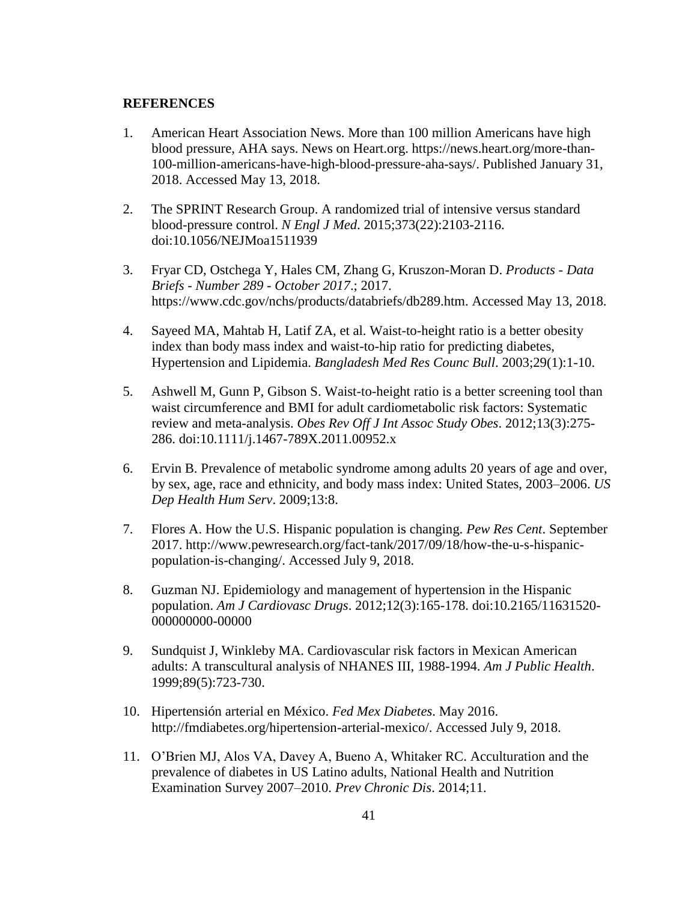#### **REFERENCES**

- 1. American Heart Association News. More than 100 million Americans have high blood pressure, AHA says. News on Heart.org. https://news.heart.org/more-than-100-million-americans-have-high-blood-pressure-aha-says/. Published January 31, 2018. Accessed May 13, 2018.
- 2. The SPRINT Research Group. A randomized trial of intensive versus standard blood-pressure control. *N Engl J Med*. 2015;373(22):2103-2116. doi:10.1056/NEJMoa1511939
- 3. Fryar CD, Ostchega Y, Hales CM, Zhang G, Kruszon-Moran D. *Products - Data Briefs - Number 289 - October 2017*.; 2017. https://www.cdc.gov/nchs/products/databriefs/db289.htm. Accessed May 13, 2018.
- 4. Sayeed MA, Mahtab H, Latif ZA, et al. Waist-to-height ratio is a better obesity index than body mass index and waist-to-hip ratio for predicting diabetes, Hypertension and Lipidemia. *Bangladesh Med Res Counc Bull*. 2003;29(1):1-10.
- 5. Ashwell M, Gunn P, Gibson S. Waist-to-height ratio is a better screening tool than waist circumference and BMI for adult cardiometabolic risk factors: Systematic review and meta-analysis. *Obes Rev Off J Int Assoc Study Obes*. 2012;13(3):275- 286. doi:10.1111/j.1467-789X.2011.00952.x
- 6. Ervin B. Prevalence of metabolic syndrome among adults 20 years of age and over, by sex, age, race and ethnicity, and body mass index: United States, 2003–2006. *US Dep Health Hum Serv*. 2009;13:8.
- 7. Flores A. How the U.S. Hispanic population is changing. *Pew Res Cent*. September 2017. http://www.pewresearch.org/fact-tank/2017/09/18/how-the-u-s-hispanicpopulation-is-changing/. Accessed July 9, 2018.
- 8. Guzman NJ. Epidemiology and management of hypertension in the Hispanic population. *Am J Cardiovasc Drugs*. 2012;12(3):165-178. doi:10.2165/11631520- 000000000-00000
- 9. Sundquist J, Winkleby MA. Cardiovascular risk factors in Mexican American adults: A transcultural analysis of NHANES III, 1988-1994. *Am J Public Health*. 1999;89(5):723-730.
- 10. Hipertensión arterial en México. *Fed Mex Diabetes*. May 2016. http://fmdiabetes.org/hipertension-arterial-mexico/. Accessed July 9, 2018.
- 11. O'Brien MJ, Alos VA, Davey A, Bueno A, Whitaker RC. Acculturation and the prevalence of diabetes in US Latino adults, National Health and Nutrition Examination Survey 2007–2010. *Prev Chronic Dis*. 2014;11.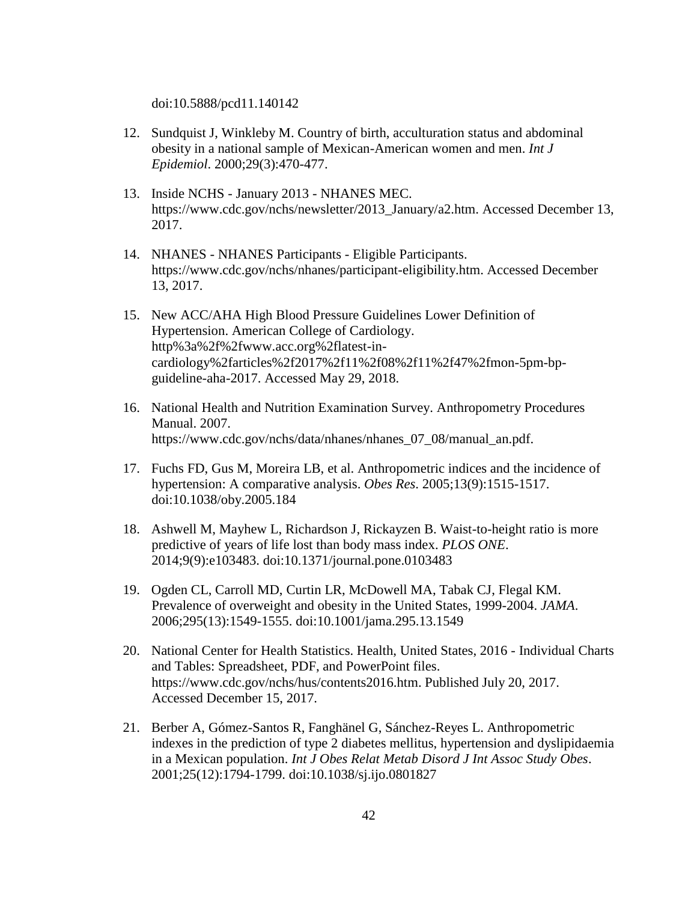doi:10.5888/pcd11.140142

- 12. Sundquist J, Winkleby M. Country of birth, acculturation status and abdominal obesity in a national sample of Mexican-American women and men. *Int J Epidemiol*. 2000;29(3):470-477.
- 13. Inside NCHS January 2013 NHANES MEC. https://www.cdc.gov/nchs/newsletter/2013\_January/a2.htm. Accessed December 13, 2017.
- 14. NHANES NHANES Participants Eligible Participants. https://www.cdc.gov/nchs/nhanes/participant-eligibility.htm. Accessed December 13, 2017.
- 15. New ACC/AHA High Blood Pressure Guidelines Lower Definition of Hypertension. American College of Cardiology. http%3a%2f%2fwww.acc.org%2flatest-incardiology%2farticles%2f2017%2f11%2f08%2f11%2f47%2fmon-5pm-bpguideline-aha-2017. Accessed May 29, 2018.
- 16. National Health and Nutrition Examination Survey. Anthropometry Procedures Manual. 2007. https://www.cdc.gov/nchs/data/nhanes/nhanes\_07\_08/manual\_an.pdf.
- 17. Fuchs FD, Gus M, Moreira LB, et al. Anthropometric indices and the incidence of hypertension: A comparative analysis. *Obes Res*. 2005;13(9):1515-1517. doi:10.1038/oby.2005.184
- 18. Ashwell M, Mayhew L, Richardson J, Rickayzen B. Waist-to-height ratio is more predictive of years of life lost than body mass index. *PLOS ONE*. 2014;9(9):e103483. doi:10.1371/journal.pone.0103483
- 19. Ogden CL, Carroll MD, Curtin LR, McDowell MA, Tabak CJ, Flegal KM. Prevalence of overweight and obesity in the United States, 1999-2004. *JAMA*. 2006;295(13):1549-1555. doi:10.1001/jama.295.13.1549
- 20. National Center for Health Statistics. Health, United States, 2016 Individual Charts and Tables: Spreadsheet, PDF, and PowerPoint files. https://www.cdc.gov/nchs/hus/contents2016.htm. Published July 20, 2017. Accessed December 15, 2017.
- 21. Berber A, Gómez-Santos R, Fanghänel G, Sánchez-Reyes L. Anthropometric indexes in the prediction of type 2 diabetes mellitus, hypertension and dyslipidaemia in a Mexican population. *Int J Obes Relat Metab Disord J Int Assoc Study Obes*. 2001;25(12):1794-1799. doi:10.1038/sj.ijo.0801827